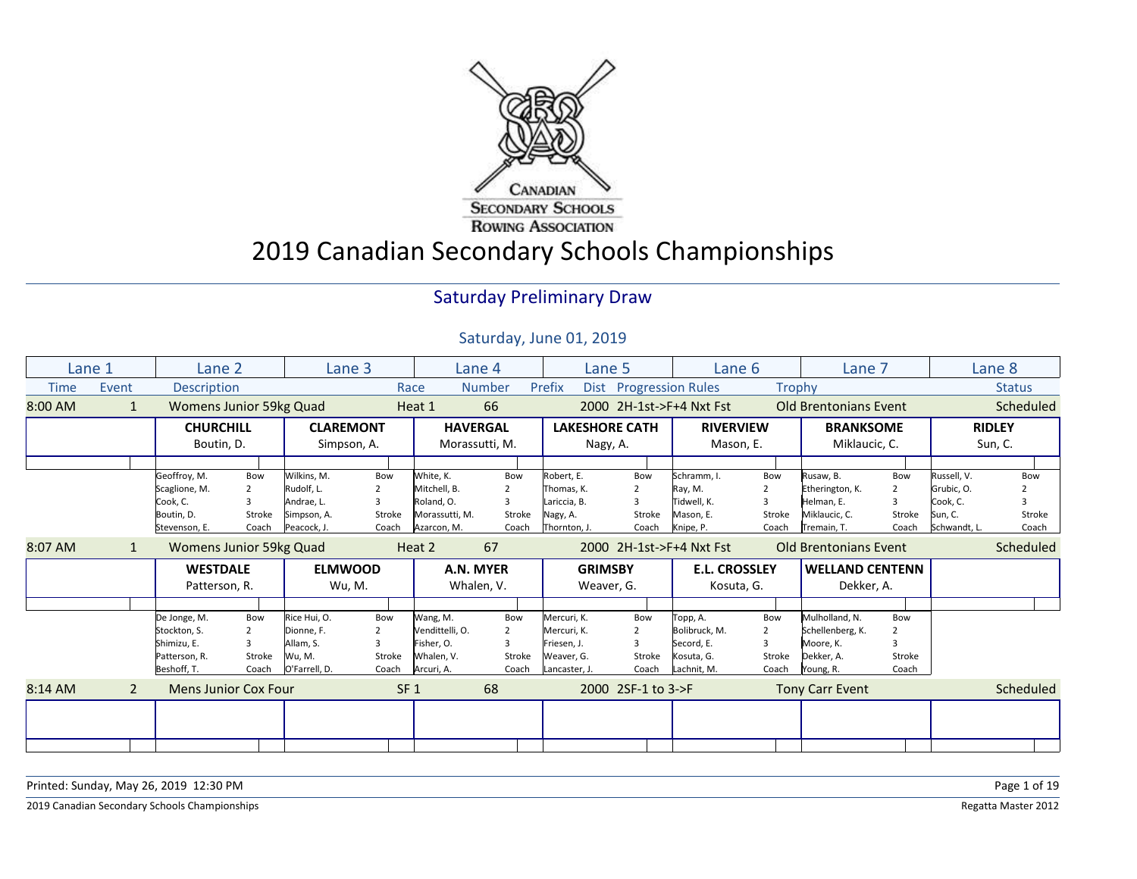

# 2019 Canadian Secondary Schools Championships

#### Saturday Preliminary Draw

|         | Lane 1         | Lane 2                         |                | Lane 3           |                 | Lane 4          |                | Lane 5                |                        | Lane 6                   |                | Lane 7                       |                         |              | Lane 8        |
|---------|----------------|--------------------------------|----------------|------------------|-----------------|-----------------|----------------|-----------------------|------------------------|--------------------------|----------------|------------------------------|-------------------------|--------------|---------------|
| Time    | Event          | <b>Description</b>             |                |                  |                 | Race            | <b>Number</b>  | Prefix                | Dist Progression Rules |                          |                | <b>Trophy</b>                |                         |              | <b>Status</b> |
| 8:00 AM | 1              | <b>Womens Junior 59kg Quad</b> |                |                  |                 | Heat 1          | 66             |                       |                        | 2000 2H-1st->F+4 Nxt Fst |                | <b>Old Brentonians Event</b> |                         |              | Scheduled     |
|         |                | <b>CHURCHILL</b>               |                | <b>CLAREMONT</b> |                 | <b>HAVERGAL</b> |                | <b>LAKESHORE CATH</b> |                        | <b>RIVERVIEW</b>         |                | <b>BRANKSOME</b>             |                         |              | <b>RIDLEY</b> |
|         |                | Boutin, D.                     |                | Simpson, A.      |                 | Morassutti, M.  |                | Nagy, A.              |                        | Mason, E.                |                | Miklaucic, C.                |                         |              | Sun, C.       |
|         |                |                                |                |                  |                 |                 |                |                       |                        |                          |                |                              |                         |              |               |
|         |                | Geoffroy, M.                   | Bow            | Wilkins, M.      | Bow             | White, K.       | Bow            | Robert, E.            | Bow                    | Schramm, I.              | Bow            | Rusaw, B.                    | Bow                     | Russell, V.  | Bow           |
|         |                | Scaglione, M.                  | 2              | Rudolf, L.       |                 | Mitchell, B.    | 2              | Thomas, K.            | 2                      | Ray, M.                  |                | Etherington, K.              | 2                       | Grubic, O.   |               |
|         |                | Cook, C.                       | 3              | Andrae. L.       |                 | Roland, O.      | 3              | Lariccia, B.          | 3                      | Tidwell. K.              |                | Helman, E.                   | $\overline{\mathbf{a}}$ | Cook, C.     |               |
|         |                | Boutin, D.                     | Stroke         | Simpson, A.      | Stroke          | Morassutti, M.  | Stroke         | Nagy, A.              | Stroke                 | Mason, E.                | Stroke         | Miklaucic, C.                | Stroke                  | Sun, C.      | Stroke        |
|         |                | Stevenson, E.                  | Coach          | Peacock, J.      | Coach           | Azarcon, M.     | Coach          | Thornton, J.          | Coach                  | Knipe, P.                | Coach          | Tremain, T.                  | Coach                   | Schwandt, L. | Coach         |
| 8:07 AM | 1              | Womens Junior 59kg Quad        |                |                  |                 | Heat 2          | 67             |                       |                        | 2000 2H-1st->F+4 Nxt Fst |                | <b>Old Brentonians Event</b> |                         |              | Scheduled     |
|         |                | <b>WESTDALE</b>                |                | <b>ELMWOOD</b>   |                 |                 |                | <b>GRIMSBY</b>        |                        | <b>E.L. CROSSLEY</b>     |                | <b>WELLAND CENTENN</b>       |                         |              |               |
|         |                |                                |                |                  |                 | A.N. MYER       |                |                       |                        |                          |                |                              |                         |              |               |
|         |                | Patterson, R.                  |                | Wu, M.           |                 | Whalen, V.      |                | Weaver, G.            |                        | Kosuta, G.               |                | Dekker, A.                   |                         |              |               |
|         |                |                                |                |                  |                 |                 |                |                       |                        |                          |                |                              |                         |              |               |
|         |                | De Jonge, M.                   | Bow            | Rice Hui, O.     | Bow             | Wang, M.        | Bow            | Mercuri, K.           | Bow                    | Topp, A.                 | Bow            | Mulholland, N.               | Bow                     |              |               |
|         |                | Stockton, S.                   | $\overline{2}$ | Dionne, F.       | $\overline{2}$  | Vendittelli, O. | $\overline{2}$ | Mercuri, K.           | $\overline{2}$         | Bolibruck, M.            | $\overline{2}$ | Schellenberg, K.             | $\overline{2}$          |              |               |
|         |                | Shimizu, E.                    | 3              | Allam, S.        |                 | Fisher, O.      |                | Friesen, J.           | ς                      | Secord, E.               |                | Moore. K.                    |                         |              |               |
|         |                | Patterson, R.                  | Stroke         | Wu, M.           | Stroke          | Whalen, V.      | Stroke         | Weaver, G.            | Stroke                 | Kosuta, G.               | Stroke         | Dekker, A.                   | Stroke                  |              |               |
|         |                | Beshoff, T.                    | Coach          | O'Farrell, D.    | Coach           | Arcuri, A.      | Coach          | Lancaster, J.         | Coach                  | Lachnit, M.              | Coach          | Young, R.                    | Coach                   |              |               |
|         | $\overline{2}$ | <b>Mens Junior Cox Four</b>    |                |                  | SF <sub>1</sub> |                 | 68             |                       | 2000 2SF-1 to 3->F     |                          |                | <b>Tony Carr Event</b>       |                         |              | Scheduled     |
| 8:14 AM |                |                                |                |                  |                 |                 |                |                       |                        |                          |                |                              |                         |              |               |
|         |                |                                |                |                  |                 |                 |                |                       |                        |                          |                |                              |                         |              |               |

| Printed: Sunday, May 26, 2019 12:30 PM        | Page 1 of 19        |
|-----------------------------------------------|---------------------|
| 2019 Canadian Secondary Schools Championships | Regatta Master 2012 |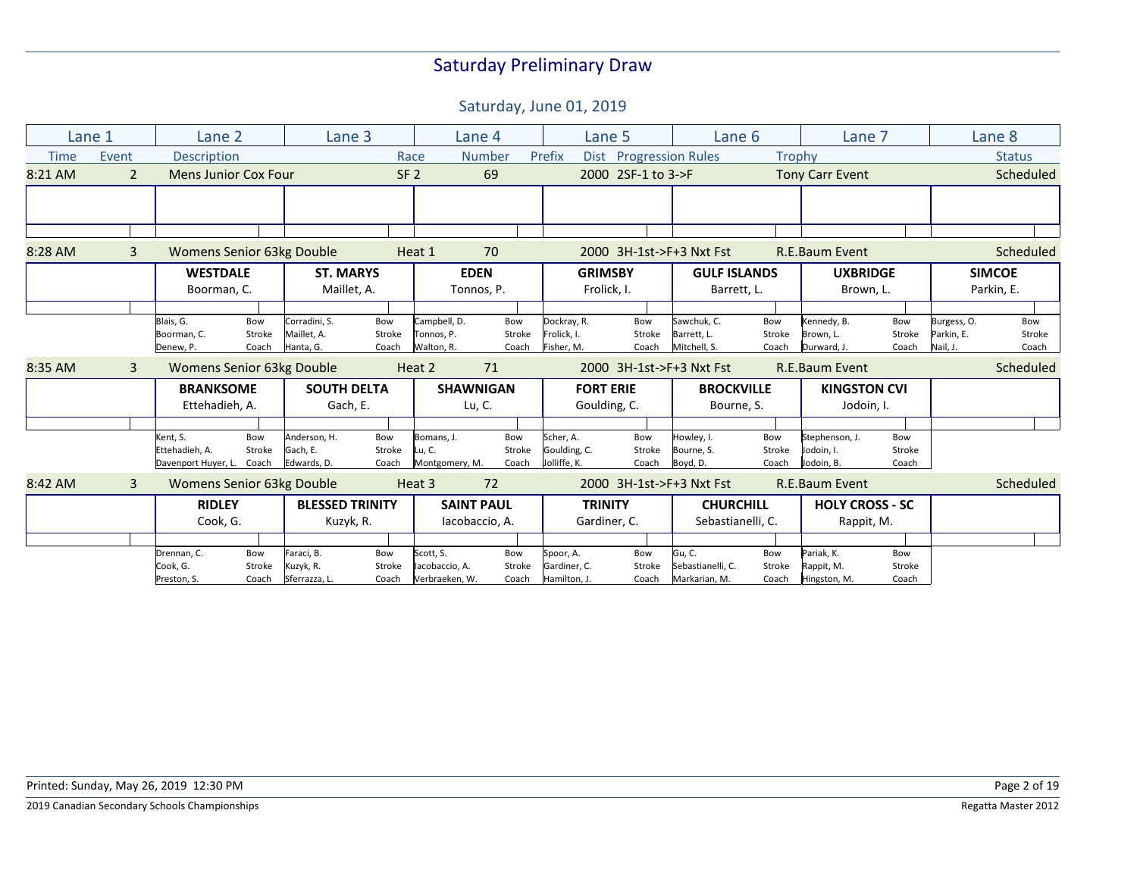|             | Lane 1         | Lane 2                           |        | Lane 3                 |                 |                | Lane 4            | Lane 5           |                        | Lane 6                   |        | Lane 7                 |        |             | Lane 8        |
|-------------|----------------|----------------------------------|--------|------------------------|-----------------|----------------|-------------------|------------------|------------------------|--------------------------|--------|------------------------|--------|-------------|---------------|
| <b>Time</b> | Event          | <b>Description</b>               |        |                        | Race            |                | <b>Number</b>     | Prefix           | Dist Progression Rules |                          | Trophy |                        |        |             | <b>Status</b> |
| 8:21 AM     | $\overline{2}$ | <b>Mens Junior Cox Four</b>      |        |                        | SF <sub>2</sub> |                | 69                |                  | 2000 2SF-1 to 3->F     |                          |        | <b>Tony Carr Event</b> |        |             | Scheduled     |
|             |                |                                  |        |                        |                 |                |                   |                  |                        |                          |        |                        |        |             |               |
|             |                |                                  |        |                        |                 |                |                   |                  |                        |                          |        |                        |        |             |               |
| 8:28 AM     | $\mathbf{3}$   | Womens Senior 63kg Double        |        |                        |                 | Heat 1         | 70                |                  |                        | 2000 3H-1st->F+3 Nxt Fst |        | R.E.Baum Event         |        |             | Scheduled     |
|             |                | <b>WESTDALE</b>                  |        | <b>ST. MARYS</b>       |                 |                | <b>EDEN</b>       | <b>GRIMSBY</b>   |                        | <b>GULF ISLANDS</b>      |        | <b>UXBRIDGE</b>        |        |             | <b>SIMCOE</b> |
|             |                | Boorman, C.                      |        | Maillet, A.            |                 |                | Tonnos, P.        | Frolick, I.      |                        | Barrett, L.              |        | Brown, L.              |        |             | Parkin, E.    |
|             |                |                                  |        |                        |                 |                |                   |                  |                        |                          |        |                        |        |             |               |
|             |                | Blais, G.                        | Bow    | Corradini, S.          | Bow             | Campbell, D.   | Bow               | Dockray, R.      | Bow                    | Sawchuk, C.              | Bow    | Kennedy, B.            | Bow    | Burgess, O. | Bow           |
|             |                | Boorman, C.                      | Stroke | Maillet, A.            | Stroke          | Tonnos, P.     | Stroke            | Frolick, I.      | Stroke                 | Barrett, L.              | Stroke | Brown, L.              | Stroke | Parkin, E.  | Stroke        |
|             |                | Denew, P.                        | Coach  | Hanta, G.              | Coach           | Walton, R.     | Coach             | Fisher, M.       | Coach                  | Mitchell, S.             | Coach  | Durward, J.            | Coach  | Nail, J.    | Coach         |
| 8:35 AM     | $\mathbf{3}$   | Womens Senior 63kg Double        |        |                        |                 | Heat 2         | 71                |                  |                        | 2000 3H-1st->F+3 Nxt Fst |        | R.E.Baum Event         |        |             | Scheduled     |
|             |                | <b>BRANKSOME</b>                 |        | <b>SOUTH DELTA</b>     |                 |                | <b>SHAWNIGAN</b>  | <b>FORT ERIE</b> |                        | <b>BROCKVILLE</b>        |        | <b>KINGSTON CVI</b>    |        |             |               |
|             |                | Ettehadieh, A.                   |        | Gach, E.               |                 |                | Lu, C.            | Goulding, C.     |                        | Bourne, S.               |        | Jodoin, I.             |        |             |               |
|             |                |                                  |        |                        |                 |                |                   |                  |                        |                          |        |                        |        |             |               |
|             |                | Kent, S.                         | Bow    | Anderson, H.           | Bow             | Bomans, J.     | Bow               | Scher, A.        | Bow                    | Howley, I.               | Bow    | Stephenson, J.         | Bow    |             |               |
|             |                | Ettehadieh, A.                   | Stroke | Gach, E.               | Stroke          | Lu, C.         | Stroke            | Goulding, C.     | Stroke                 | Bourne, S.               | Stroke | Jodoin, I.             | Stroke |             |               |
|             |                | Davenport Huyer, L.              | Coach  | Edwards, D.            | Coach           | Montgomery, M. | Coach             | Jolliffe, K.     | Coach                  | Boyd, D.                 | Coach  | Jodoin, B.             | Coach  |             |               |
| 8:42 AM     | 3              | <b>Womens Senior 63kg Double</b> |        |                        |                 | Heat 3         | 72                |                  |                        | 2000 3H-1st->F+3 Nxt Fst |        | <b>R.E.Baum Event</b>  |        |             | Scheduled     |
|             |                | <b>RIDLEY</b>                    |        | <b>BLESSED TRINITY</b> |                 |                | <b>SAINT PAUL</b> | <b>TRINITY</b>   |                        | <b>CHURCHILL</b>         |        | <b>HOLY CROSS - SC</b> |        |             |               |
|             |                | Cook, G.                         |        | Kuzyk, R.              |                 |                | lacobaccio, A.    | Gardiner, C.     |                        | Sebastianelli, C.        |        | Rappit, M.             |        |             |               |
|             |                |                                  |        |                        |                 |                |                   |                  |                        |                          |        |                        |        |             |               |
|             |                | Drennan, C.                      | Bow    | Faraci, B.             | Bow             | Scott, S.      | Bow               | Spoor, A.        | Bow                    | Gu, C.                   | Bow    | Pariak, K.             | Bow    |             |               |
|             |                | Cook, G.                         | Stroke | Kuzyk, R.              | Stroke          | lacobaccio, A. | Stroke            | Gardiner, C.     | Stroke                 | Sebastianelli, C.        | Stroke | Rappit, M.             | Stroke |             |               |
|             |                | Preston, S.                      | Coach  | Sferrazza, L.          | Coach           | Verbraeken, W. | Coach             | Hamilton, J.     | Coach                  | Markarian, M.            | Coach  | Hingston, M.           | Coach  |             |               |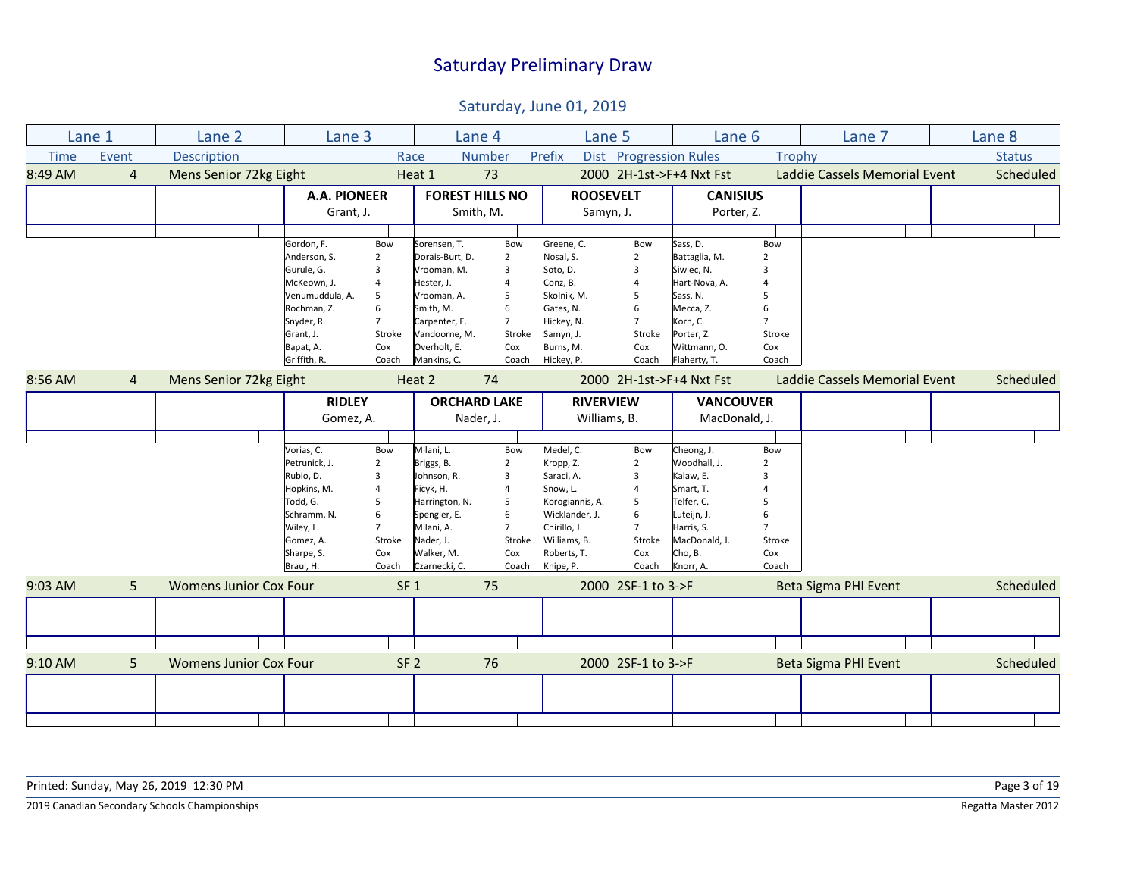|             | Lane 1         | Lane 2                        | Lane 3                          | Lane 4                            |                    | Lane 5           |                        | Lane 6                   |                | Lane 7                        | Lane 8        |
|-------------|----------------|-------------------------------|---------------------------------|-----------------------------------|--------------------|------------------|------------------------|--------------------------|----------------|-------------------------------|---------------|
| <b>Time</b> | Event          | <b>Description</b>            |                                 | <b>Number</b><br>Race             | Prefix             |                  | Dist Progression Rules |                          | Trophy         |                               | <b>Status</b> |
| 8:49 AM     | $\overline{4}$ | Mens Senior 72kg Eight        |                                 | 73<br>Heat 1                      |                    |                  |                        | 2000 2H-1st->F+4 Nxt Fst |                | Laddie Cassels Memorial Event | Scheduled     |
|             |                |                               | <b>A.A. PIONEER</b>             | <b>FOREST HILLS NO</b>            |                    | <b>ROOSEVELT</b> |                        | <b>CANISIUS</b>          |                |                               |               |
|             |                |                               | Grant, J.                       | Smith, M.                         |                    | Samyn, J.        |                        | Porter, Z.               |                |                               |               |
|             |                |                               |                                 |                                   |                    |                  |                        |                          |                |                               |               |
|             |                |                               | Gordon, F.<br>Bow               | Sorensen, T.<br>Bow               |                    | Greene, C.       | Bow                    | Sass, D.                 | Bow            |                               |               |
|             |                |                               | Anderson, S.<br>$\overline{2}$  | Dorais-Burt, D.<br>$\overline{2}$ | Nosal, S.          |                  | $\overline{2}$         | Battaglia, M.            | $\overline{2}$ |                               |               |
|             |                |                               | Gurule, G.<br>3                 | Vrooman, M.<br>3                  | Soto, D.           |                  | 3                      | Siwiec, N.               | 3              |                               |               |
|             |                |                               | McKeown, J.<br>4                | Hester, J.                        | Conz, B.           |                  | $\overline{4}$         | Hart-Nova, A.            |                |                               |               |
|             |                |                               | Venumuddula, A.<br>5            | Vrooman, A.<br>5                  |                    | Skolnik, M.      | 5                      | Sass, N.                 | 5              |                               |               |
|             |                |                               | Rochman, Z.<br>6                | Smith, M.<br>6                    |                    | Gates, N.        | 6                      | Mecca, Z.                | 6              |                               |               |
|             |                |                               | Snyder, R.<br>$\overline{7}$    | Carpenter, E.<br>$\overline{7}$   |                    | Hickey, N.       | $\overline{7}$         | Korn, C.                 | $\overline{7}$ |                               |               |
|             |                |                               | Grant, J.<br>Stroke             | Vandoorne, M.                     | Stroke             | Samyn, J.        | Stroke                 | Porter, Z.               | Stroke         |                               |               |
|             |                |                               | Bapat, A.<br>Cox                | Overholt, E.<br>Cox               |                    | Burns, M.        | Cox                    | Wittmann, O.             | Cox            |                               |               |
|             |                |                               | Griffith, R.<br>Coach           | Mankins, C.<br>Coach              |                    | Hickey, P.       | Coach                  | Flaherty, T.             | Coach          |                               |               |
| 8:56 AM     | 4              | Mens Senior 72kg Eight        |                                 | Heat 2<br>74                      |                    |                  |                        | 2000 2H-1st->F+4 Nxt Fst |                | Laddie Cassels Memorial Event | Scheduled     |
|             |                |                               | <b>RIDLEY</b>                   | <b>ORCHARD LAKE</b>               |                    | <b>RIVERVIEW</b> |                        | <b>VANCOUVER</b>         |                |                               |               |
|             |                |                               | Gomez, A.                       | Nader, J.                         |                    | Williams, B.     |                        | MacDonald, J.            |                |                               |               |
|             |                |                               |                                 |                                   |                    |                  |                        |                          |                |                               |               |
|             |                |                               | Vorias, C.<br>Bow               | Milani, L.<br>Bow                 |                    | Medel, C.        | Bow                    | Cheong, J.               | Bow            |                               |               |
|             |                |                               | Petrunick, J.<br>$\overline{2}$ | Briggs, B.<br>2                   |                    | Kropp, Z.        | $\overline{2}$         | Woodhall, J.             | $\overline{2}$ |                               |               |
|             |                |                               | Rubio, D.<br>3                  | Johnson, R.<br>3                  |                    | Saraci, A.       | 3                      | Kalaw, E.                | 3              |                               |               |
|             |                |                               | Hopkins, M.<br>4                | Ficyk, H.                         | Snow, L.           |                  | $\overline{4}$         | Smart, T.                |                |                               |               |
|             |                |                               | Todd, G.<br>5                   | Harrington, N.<br>5               |                    | Korogiannis, A.  | 5                      | Telfer, C.               | 5              |                               |               |
|             |                |                               | Schramm, N.<br>6                | Spengler, E.<br>6                 |                    | Wicklander, J.   | 6                      | Luteijn, J.              | 6              |                               |               |
|             |                |                               | Wiley, L.<br>$\overline{7}$     | Milani, A.<br>$\overline{7}$      |                    | Chirillo, J.     | $\overline{7}$         | Harris, S.               | $\overline{7}$ |                               |               |
|             |                |                               | Gomez, A.<br>Stroke             | Nader, J.                         | Stroke             | Williams, B.     | Stroke                 | MacDonald, J.            | Stroke         |                               |               |
|             |                |                               | Sharpe, S.<br>Cox               | Walker, M.<br>Cox                 |                    | Roberts, T.      | Cox                    | Cho, B.                  | Cox            |                               |               |
|             |                |                               | Braul, H.<br>Coach              | Czarnecki, C.                     | Coach<br>Knipe, P. |                  | Coach                  | Knorr, A                 | Coach          |                               |               |
| $9:03$ AM   | 5              | <b>Womens Junior Cox Four</b> |                                 | SF <sub>1</sub><br>75             |                    |                  | 2000 2SF-1 to 3->F     |                          |                | Beta Sigma PHI Event          | Scheduled     |
|             |                |                               |                                 |                                   |                    |                  |                        |                          |                |                               |               |
|             |                |                               |                                 |                                   |                    |                  |                        |                          |                |                               |               |
|             |                |                               |                                 |                                   |                    |                  |                        |                          |                |                               |               |
| $9:10$ AM   | 5              | <b>Womens Junior Cox Four</b> |                                 | SF <sub>2</sub><br>76             |                    |                  | 2000 2SF-1 to 3->F     |                          |                | <b>Beta Sigma PHI Event</b>   | Scheduled     |
|             |                |                               |                                 |                                   |                    |                  |                        |                          |                |                               |               |
|             |                |                               |                                 |                                   |                    |                  |                        |                          |                |                               |               |
|             |                |                               |                                 |                                   |                    |                  |                        |                          |                |                               |               |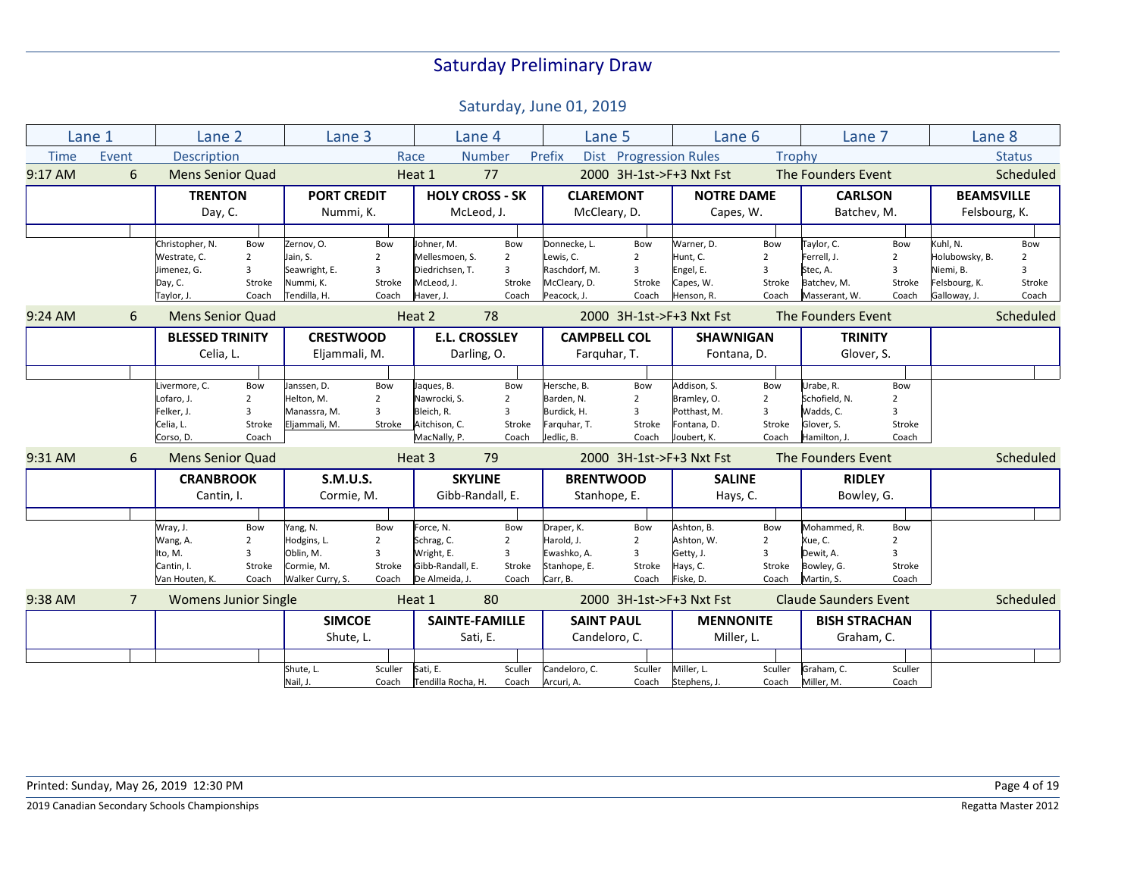|             | Lane 1         | Lane 2                      |                         | Lane 3             |                | Lane 4                 |                | Lane 5              |                        | Lane 6                   |                         | Lane 7                       |                         | Lane 8            |                |
|-------------|----------------|-----------------------------|-------------------------|--------------------|----------------|------------------------|----------------|---------------------|------------------------|--------------------------|-------------------------|------------------------------|-------------------------|-------------------|----------------|
| <b>Time</b> | Event          | <b>Description</b>          |                         |                    |                | Race                   | <b>Number</b>  | Prefix              | Dist Progression Rules |                          | Trophy                  |                              |                         |                   | <b>Status</b>  |
| $9:17$ AM   | 6              | <b>Mens Senior Quad</b>     |                         |                    |                | Heat 1                 | 77             |                     |                        | 2000 3H-1st->F+3 Nxt Fst |                         | The Founders Event           |                         |                   | Scheduled      |
|             |                | <b>TRENTON</b>              |                         | <b>PORT CREDIT</b> |                | <b>HOLY CROSS - SK</b> |                | <b>CLAREMONT</b>    |                        | <b>NOTRE DAME</b>        |                         | <b>CARLSON</b>               |                         | <b>BEAMSVILLE</b> |                |
|             |                | Day, C.                     |                         | Nummi, K.          |                | McLeod, J.             |                | McCleary, D.        |                        | Capes, W.                |                         | Batchev, M.                  |                         | Felsbourg, K.     |                |
|             |                |                             |                         |                    |                |                        |                |                     |                        |                          |                         |                              |                         |                   |                |
|             |                | Christopher, N.             | Bow                     | Zernov, O.         | Bow            | Johner, M.             | Bow            | Donnecke, L.        | Bow                    | Warner, D.               | Bow                     | Taylor, C.                   | Bow                     | Kuhl, N.          | Bow            |
|             |                | Westrate, C.                | $\overline{2}$          | Jain, S.           | $\overline{2}$ | Mellesmoen. S.         | $\overline{2}$ | Lewis, C.           | $\overline{2}$         | Hunt, C.                 | $\overline{2}$          | Ferrell, J.                  | $\overline{2}$          | Holubowsky, B.    | $\overline{2}$ |
|             |                | Jimenez, G.                 | 3                       | Seawright, E.      | $\overline{3}$ | Diedrichsen, T.        | $\overline{3}$ | Raschdorf. M.       | $\overline{3}$         | Engel, E.                | 3                       | Stec, A.                     | $\overline{3}$          | Niemi, B.         | $\overline{3}$ |
|             |                | Day, C.                     | Stroke                  | Nummi, K.          | Stroke         | McLeod. J.             | Stroke         | McCleary, D.        | Stroke                 | Capes, W.                | Stroke                  | Batchev, M.                  | Stroke                  | Felsbourg, K.     | Stroke         |
|             |                | Taylor, J.                  | Coach                   | Tendilla, H.       | Coach          | Haver, J.              | Coach          | Peacock, J.         | Coach                  | Henson, R.               | Coach                   | Masserant, W.                | Coach                   | Galloway, J.      | Coach          |
| $9:24$ AM   | 6              | <b>Mens Senior Quad</b>     |                         |                    |                | Heat 2                 | 78             |                     |                        | 2000 3H-1st->F+3 Nxt Fst |                         | The Founders Event           |                         |                   | Scheduled      |
|             |                | <b>BLESSED TRINITY</b>      |                         | <b>CRESTWOOD</b>   |                | <b>E.L. CROSSLEY</b>   |                | <b>CAMPBELL COL</b> |                        | <b>SHAWNIGAN</b>         |                         | <b>TRINITY</b>               |                         |                   |                |
|             |                | Celia, L.                   |                         | Eljammali, M.      |                | Darling, O.            |                | Farguhar, T.        |                        | Fontana, D.              |                         | Glover, S.                   |                         |                   |                |
|             |                |                             |                         |                    |                |                        |                |                     |                        |                          |                         |                              |                         |                   |                |
|             |                | Livermore, C.               | Bow                     | Janssen, D.        | Bow            | Jaques, B.             | Bow            | Hersche, B.         | Bow                    | Addison, S.              | Bow                     | Urabe, R.                    | Bow                     |                   |                |
|             |                | Lofaro, J.                  | $\overline{2}$          | Helton, M.         | $\overline{2}$ | Nawrocki, S.           | $\overline{2}$ | Barden, N.          | $\overline{2}$         | Bramley, O.              | $\overline{2}$          | Schofield. N.                | $\overline{2}$          |                   |                |
|             |                | Felker, J.                  | $\overline{\mathbf{3}}$ | Manassra, M.       | 3              | Bleich. R.             | 3              | Burdick, H.         | $\overline{3}$         | Potthast, M.             | 3                       | Wadds, C.                    | $\overline{\mathbf{3}}$ |                   |                |
|             |                | Celia, L.                   | Stroke                  | Eljammali, M.      | Stroke         | Aitchison, C.          | Stroke         | Farquhar, T.        | Stroke                 | Fontana, D.              | Stroke                  | Glover, S.                   | Stroke                  |                   |                |
|             |                | Corso, D.                   | Coach                   |                    |                | MacNally, P.           | Coach          | Jedlic, B.          | Coach                  | Joubert, K.              | Coach                   | Hamilton, J.                 | Coach                   |                   |                |
| 9:31 AM     | 6              | <b>Mens Senior Quad</b>     |                         |                    |                | Heat 3                 | 79             |                     |                        | 2000 3H-1st->F+3 Nxt Fst |                         | The Founders Event           |                         |                   | Scheduled      |
|             |                | <b>CRANBROOK</b>            |                         | <b>S.M.U.S.</b>    |                | <b>SKYLINE</b>         |                | <b>BRENTWOOD</b>    |                        | <b>SALINE</b>            |                         | <b>RIDLEY</b>                |                         |                   |                |
|             |                | Cantin, I.                  |                         | Cormie, M.         |                | Gibb-Randall, E.       |                | Stanhope, E.        |                        | Hays, C.                 |                         | Bowley, G.                   |                         |                   |                |
|             |                |                             |                         |                    |                |                        |                |                     |                        |                          |                         |                              |                         |                   |                |
|             |                | Wray, J.                    | Bow                     | Yang, N.           | Bow            | Force, N.              | Bow            | Draper, K.          | Bow                    | Ashton, B.               | Bow                     | Mohammed, R.                 | Bow                     |                   |                |
|             |                | Wang, A.                    | $\overline{2}$          | Hodgins, L.        | $\overline{2}$ | Schrag, C.             | $\overline{2}$ | Harold. J.          | $\overline{2}$         | Ashton, W.               | $\overline{2}$          | Xue, C.                      | $\overline{2}$          |                   |                |
|             |                | Ito, M.                     | $\overline{\mathbf{3}}$ | Oblin, M.          | 3              | Wright, E.             | 3              | Ewashko, A.         | $\overline{3}$         | Getty, J.                | $\overline{\mathbf{3}}$ | Dewit, A.                    | $\mathbf{a}$            |                   |                |
|             |                | Cantin, I.                  | Stroke                  | Cormie, M.         | Stroke         | Gibb-Randall, E.       | Stroke         | Stanhope, E.        | Stroke                 | Hays, C.                 | Stroke                  | Bowley, G.                   | Stroke                  |                   |                |
|             |                | Van Houten, K.              | Coach                   | Walker Curry, S.   | Coach          | De Almeida, J.         | Coach          | Carr, B.            | Coach                  | Fiske, D.                | Coach                   | Martin, S.                   | Coach                   |                   |                |
| 9:38 AM     | $\overline{7}$ | <b>Womens Junior Single</b> |                         |                    |                | Heat 1                 | 80             |                     |                        | 2000 3H-1st->F+3 Nxt Fst |                         | <b>Claude Saunders Event</b> |                         |                   | Scheduled      |
|             |                |                             |                         | <b>SIMCOE</b>      |                | <b>SAINTE-FAMILLE</b>  |                | <b>SAINT PAUL</b>   |                        | <b>MENNONITE</b>         |                         | <b>BISH STRACHAN</b>         |                         |                   |                |
|             |                |                             |                         | Shute, L.          |                | Sati, E.               |                | Candeloro, C.       |                        | Miller, L.               |                         | Graham, C.                   |                         |                   |                |
|             |                |                             |                         |                    |                |                        |                |                     |                        |                          |                         |                              |                         |                   |                |
|             |                |                             |                         | Shute, L           | Sculler        | Sati, E.               | Sculler        | Candeloro, C.       | Sculler                | Miller, L.               | Sculler                 | Graham. C.                   | Sculler                 |                   |                |
|             |                |                             |                         | Nail, J.           | Coach          | Tendilla Rocha, H.     | Coach          | Arcuri, A.          | Coach                  | Stephens, J.             | Coach                   | Miller, M.                   | Coach                   |                   |                |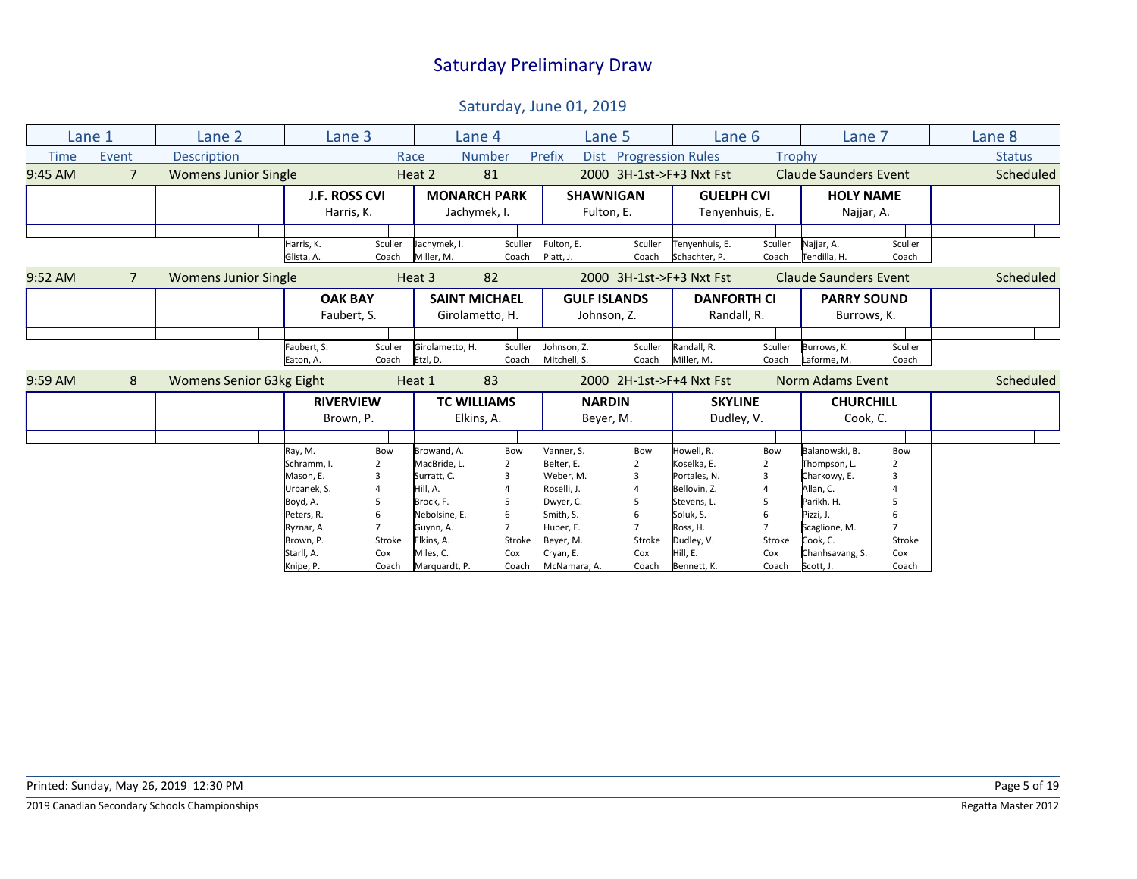|             | Lane 1          | Lane 2                      | Lane 3                        |                  |                             | Lane 4                                  |                             | Lane 5                             | Lane 6                            |                  | Lane 7                            |                  | Lane 8        |
|-------------|-----------------|-----------------------------|-------------------------------|------------------|-----------------------------|-----------------------------------------|-----------------------------|------------------------------------|-----------------------------------|------------------|-----------------------------------|------------------|---------------|
| <b>Time</b> | Event           | <b>Description</b>          |                               |                  | Race                        | <b>Number</b>                           | Prefix                      | Dist Progression Rules             |                                   | Trophy           |                                   |                  | <b>Status</b> |
| 9:45 AM     | $\overline{7}$  | <b>Womens Junior Single</b> |                               |                  | Heat 2                      | 81                                      |                             |                                    | 2000 3H-1st->F+3 Nxt Fst          |                  | <b>Claude Saunders Event</b>      |                  | Scheduled     |
|             |                 |                             | <b>J.F. ROSS CVI</b>          |                  |                             | <b>MONARCH PARK</b>                     |                             | <b>SHAWNIGAN</b>                   | <b>GUELPH CVI</b>                 |                  | <b>HOLY NAME</b>                  |                  |               |
|             |                 |                             | Harris, K.                    |                  |                             | Jachymek, I.                            |                             | Fulton, E.                         | Tenyenhuis, E.                    |                  | Najjar, A.                        |                  |               |
|             |                 |                             |                               |                  |                             |                                         |                             |                                    |                                   |                  |                                   |                  |               |
|             |                 |                             | Harris, K.<br>Glista, A.      | Sculler<br>Coach | Jachymek, I.<br>Miller, M.  | Sculler<br>Coach                        | Fulton, E.<br>Platt, J.     | Sculler<br>Coach                   | Tenyenhuis, E.<br>Schachter, P.   | Sculler<br>Coach | Najjar, A.<br>Tendilla, H.        | Sculler<br>Coach |               |
| $9:52$ AM   | $7\overline{ }$ | <b>Womens Junior Single</b> |                               |                  | Heat 3                      | 82                                      |                             |                                    | 2000 3H-1st->F+3 Nxt Fst          |                  | <b>Claude Saunders Event</b>      |                  | Scheduled     |
|             |                 |                             | <b>OAK BAY</b><br>Faubert, S. |                  |                             | <b>SAINT MICHAEL</b><br>Girolametto, H. |                             | <b>GULF ISLANDS</b><br>Johnson, Z. | <b>DANFORTH CI</b><br>Randall, R. |                  | <b>PARRY SOUND</b><br>Burrows, K. |                  |               |
|             |                 |                             |                               |                  |                             |                                         |                             |                                    |                                   |                  |                                   |                  |               |
|             |                 |                             | Faubert, S.<br>Eaton, A.      | Sculler<br>Coach | Girolametto, H.<br>Etzl, D. | Sculler<br>Coach                        | Johnson, Z.<br>Mitchell, S. | Sculler<br>Coach                   | Randall, R.<br>Miller, M.         | Sculler<br>Coach | Burrows, K.<br>Laforme, M.        | Sculler<br>Coach |               |
| $9:59$ AM   | 8               | Womens Senior 63kg Eight    |                               |                  | Heat 1                      | 83                                      |                             |                                    | 2000 2H-1st->F+4 Nxt Fst          |                  | <b>Norm Adams Event</b>           |                  | Scheduled     |
|             |                 |                             | <b>RIVERVIEW</b>              |                  |                             | <b>TC WILLIAMS</b>                      |                             | <b>NARDIN</b>                      | <b>SKYLINE</b>                    |                  | <b>CHURCHILL</b>                  |                  |               |
|             |                 |                             | Brown, P.                     |                  |                             | Elkins, A.                              |                             | Beyer, M.                          | Dudley, V.                        |                  | Cook, C.                          |                  |               |
|             |                 |                             |                               |                  |                             |                                         |                             |                                    |                                   |                  |                                   |                  |               |
|             |                 |                             | Ray, M.                       | Bow              | Browand, A.                 | Bow                                     | Vanner. S.                  | Bow                                | Howell, R.                        | Bow              | Balanowski, B.                    | Bow              |               |
|             |                 |                             | Schramm, I.                   |                  | MacBride, L.                | $\overline{2}$                          | Belter, E.                  | $\overline{2}$                     | Koselka, E.                       |                  | Thompson, L.                      |                  |               |
|             |                 |                             | Mason, E.                     |                  | Surratt, C.                 |                                         | Weber, M.                   | 3                                  | Portales, N.                      |                  | Charkowy, E.                      |                  |               |
|             |                 |                             | Urbanek, S.                   |                  | Hill, A.                    |                                         | Roselli, J.                 | 4                                  | Bellovin, Z.                      |                  | Allan, C.                         |                  |               |
|             |                 |                             | Boyd, A.                      |                  | Brock, F.                   |                                         | Dwyer, C.                   | .5                                 | Stevens, L.                       | 5                | Parikh, H.                        |                  |               |
|             |                 |                             | Peters, R.                    |                  | Nebolsine, E.               |                                         | Smith, S.                   | 6                                  | Soluk, S.                         |                  | Pizzi, J.                         |                  |               |
|             |                 |                             | Ryznar, A.                    |                  | Guynn, A.                   |                                         | Huber. E.                   | $\overline{7}$                     | Ross. H.                          |                  | Scaglione, M.                     |                  |               |
|             |                 |                             | Brown, P.                     | Stroke           | Elkins, A.<br>Miles, C.     | Stroke                                  | Beyer, M.                   | Stroke                             | Dudley, V.<br>Hill, E.            | Stroke           | Cook, C.<br>Chanhsavang, S.       | Stroke           |               |
|             |                 |                             | Starll, A.<br>Knipe, P.       | Cox<br>Coach     | Marquardt, P.               | Cox<br>Coach                            | Cryan, E.<br>McNamara, A.   | Cox<br>Coach                       | Bennett, K.                       | Cox<br>Coach     | Scott, J.                         | Cox<br>Coach     |               |
|             |                 |                             |                               |                  |                             |                                         |                             |                                    |                                   |                  |                                   |                  |               |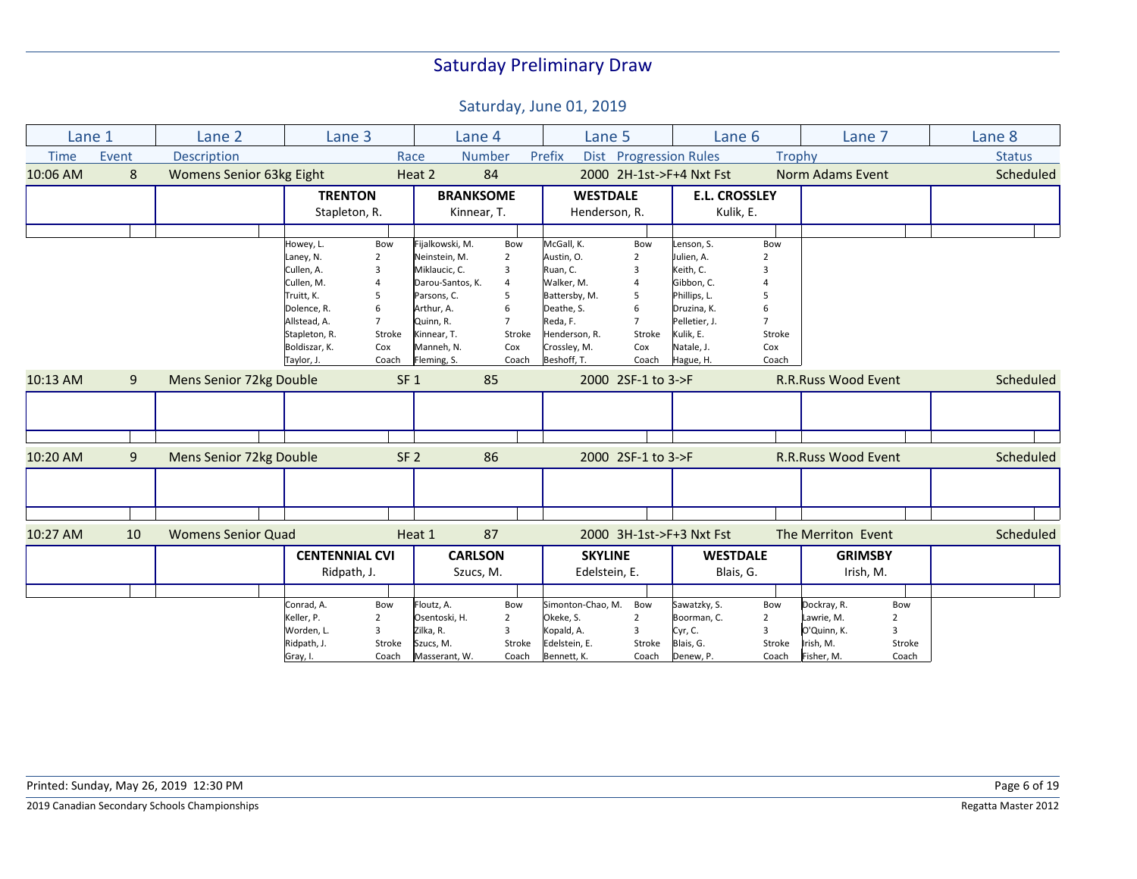| Lane 1      |       | Lane 2                    | Lane <sub>3</sub>     |                 | Lane 4           |                | Lane 5             |                | Lane <sub>6</sub>        |               | Lane 7                     |                | Lane 8        |
|-------------|-------|---------------------------|-----------------------|-----------------|------------------|----------------|--------------------|----------------|--------------------------|---------------|----------------------------|----------------|---------------|
| <b>Time</b> | Event | Description               |                       |                 | Race             | <b>Number</b>  | Prefix             |                | Dist Progression Rules   | <b>Trophy</b> |                            |                | <b>Status</b> |
| 10:06 AM    | 8     | Womens Senior 63kg Eight  |                       |                 | Heat 2           | 84             |                    |                | 2000 2H-1st->F+4 Nxt Fst |               | <b>Norm Adams Event</b>    |                | Scheduled     |
|             |       |                           | <b>TRENTON</b>        |                 | <b>BRANKSOME</b> |                | <b>WESTDALE</b>    |                | <b>E.L. CROSSLEY</b>     |               |                            |                |               |
|             |       |                           | Stapleton, R.         |                 | Kinnear, T.      |                | Henderson, R.      |                | Kulik, E.                |               |                            |                |               |
|             |       |                           |                       |                 |                  |                |                    |                |                          |               |                            |                |               |
|             |       |                           | Howey, L.             | Bow             | Fijalkowski, M.  | Bow            | McGall, K.         | Bow            | Lenson, S.               | Bow           |                            |                |               |
|             |       |                           | Laney, N.             | 2               | Neinstein, M.    | $\overline{2}$ | Austin, O.         | $\overline{2}$ | Julien, A.               |               |                            |                |               |
|             |       |                           | Cullen, A.            | 3               | Miklaucic, C.    | 3              | Ruan, C.           | 3              | Keith, C.                |               |                            |                |               |
|             |       |                           | Cullen, M.            |                 | Darou-Santos, K. | $\overline{4}$ | Walker, M.         | $\overline{4}$ | Gibbon, C.               |               |                            |                |               |
|             |       |                           | Truitt, K.            | 5               | Parsons, C.      | 5              | Battersby, M.      | 5              | Phillips, L.             |               |                            |                |               |
|             |       |                           | Dolence, R.           | 6               | Arthur, A.       | 6              | Deathe, S.         | 6              | Druzina, K.              |               |                            |                |               |
|             |       |                           | Allstead, A.          |                 | Quinn, R.        | $\overline{7}$ | Reda, F.           | $\overline{7}$ | Pelletier, J.            |               |                            |                |               |
|             |       |                           | Stapleton, R.         | Stroke          | Kinnear, T.      | Stroke         | Henderson, R.      | Stroke         | Kulik, E.                | Stroke        |                            |                |               |
|             |       |                           | Boldiszar, K.         | Cox             | Manneh, N.       | Cox            | Crossley, M.       | Cox            | Natale, J.               | Cox           |                            |                |               |
|             |       |                           | Taylor, J             | Coach           | Fleming, S.      | Coach          | Beshoff, T.        | Coach          | Hague, H.                | Coach         |                            |                |               |
| 10:13 AM    | 9     | Mens Senior 72kg Double   |                       | SF <sub>1</sub> |                  | 85             | 2000 2SF-1 to 3->F |                |                          |               | <b>R.R.Russ Wood Event</b> |                | Scheduled     |
|             |       |                           |                       |                 |                  |                |                    |                |                          |               |                            |                |               |
|             |       |                           |                       |                 |                  |                |                    |                |                          |               |                            |                |               |
|             |       |                           |                       |                 |                  |                |                    |                |                          |               |                            |                |               |
| 10:20 AM    | 9     | Mens Senior 72kg Double   |                       |                 | SF <sub>2</sub>  | 86             | 2000 2SF-1 to 3->F |                |                          |               | <b>R.R.Russ Wood Event</b> |                | Scheduled     |
|             |       |                           |                       |                 |                  |                |                    |                |                          |               |                            |                |               |
|             |       |                           |                       |                 |                  |                |                    |                |                          |               |                            |                |               |
|             |       |                           |                       |                 |                  |                |                    |                |                          |               |                            |                |               |
| 10:27 AM    | 10    | <b>Womens Senior Quad</b> |                       |                 | Heat 1           | 87             |                    |                | 2000 3H-1st->F+3 Nxt Fst |               | The Merriton Event         |                | Scheduled     |
|             |       |                           | <b>CENTENNIAL CVI</b> |                 | <b>CARLSON</b>   |                | <b>SKYLINE</b>     |                | <b>WESTDALE</b>          |               | <b>GRIMSBY</b>             |                |               |
|             |       |                           | Ridpath, J.           |                 | Szucs, M.        |                | Edelstein, E.      |                | Blais, G.                |               | Irish, M.                  |                |               |
|             |       |                           |                       |                 |                  |                |                    |                |                          |               |                            |                |               |
|             |       |                           | Conrad, A.            | Bow             | Floutz, A.       | Bow            | Simonton-Chao, M.  | Bow            | Sawatzky, S.             | Bow           | Dockray, R.                | Bow            |               |
|             |       |                           | Keller, P.            | $\overline{2}$  | Osentoski, H.    | 2              | Okeke, S.          | $\overline{2}$ | Boorman, C.              | 2             | Lawrie, M.                 | $\overline{2}$ |               |
|             |       |                           | Worden, L.            | 3               | Zilka, R.        |                | Kopald, A.         | 3              | Cyr, C.                  |               | O'Quinn, K.                | 3              |               |
|             |       |                           | Ridpath, J.           | Stroke          | Szucs, M.        | Stroke         | Edelstein, E.      | Stroke         | Blais, G.                | Stroke        | Irish, M.                  | Stroke         |               |
|             |       |                           | Gray, I.              | Coach           | Masserant, W.    | Coach          | Bennett, K.        | Coach          | Denew, P.                | Coach         | Fisher, M.                 | Coach          |               |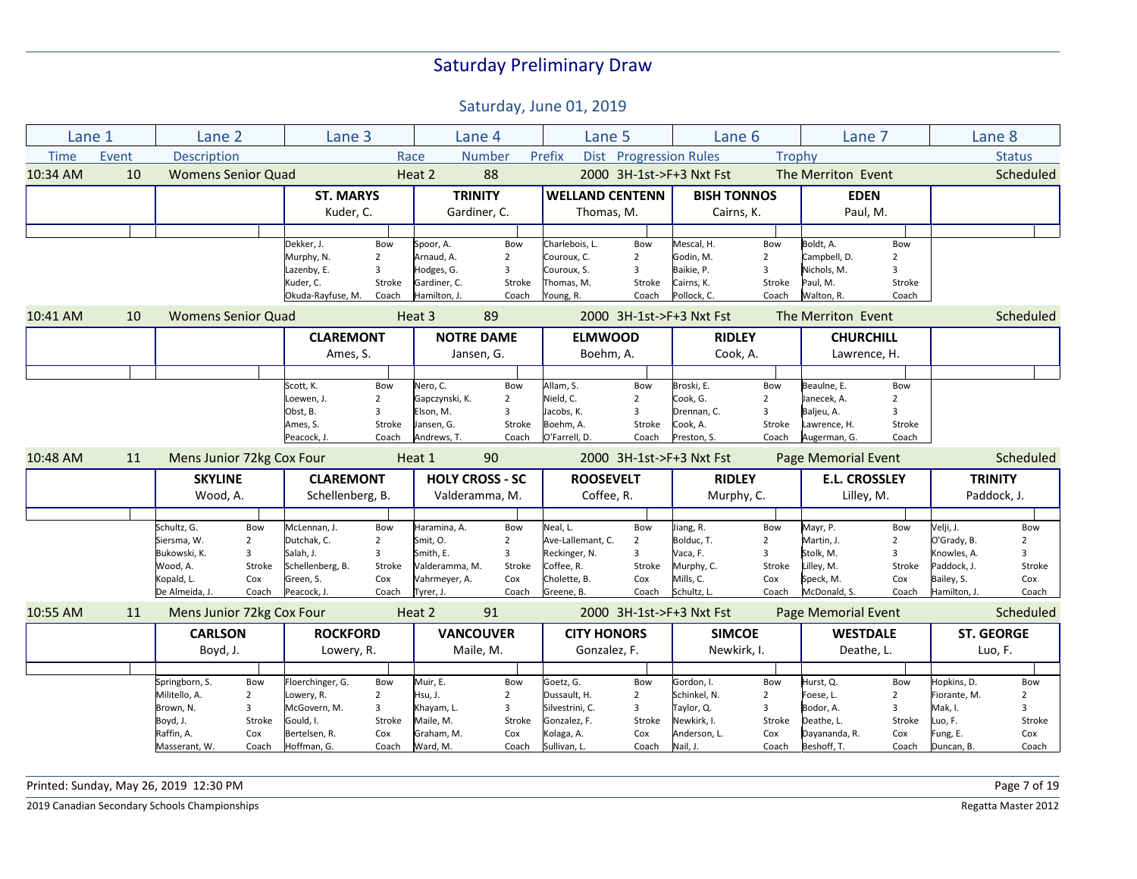Saturday, June 01, 2019

| Lane 1      |       | Lane <sub>2</sub>         |                | Lane 3            |                | Lane 4                 |                | Lane 5                 |                        | Lane 6                   |                | Lane 7                     |                |              | Lane 8            |
|-------------|-------|---------------------------|----------------|-------------------|----------------|------------------------|----------------|------------------------|------------------------|--------------------------|----------------|----------------------------|----------------|--------------|-------------------|
| <b>Time</b> | Event | Description               |                |                   |                | Race                   | <b>Number</b>  | Prefix                 | Dist Progression Rules |                          | Trophy         |                            |                |              | <b>Status</b>     |
| 10:34 AM    | 10    | <b>Womens Senior Quad</b> |                |                   |                | Heat 2                 | 88             |                        |                        | 2000 3H-1st->F+3 Nxt Fst |                | The Merriton Event         |                |              | Scheduled         |
|             |       |                           |                | <b>ST. MARYS</b>  |                | <b>TRINITY</b>         |                | <b>WELLAND CENTENN</b> |                        | <b>BISH TONNOS</b>       |                | <b>EDEN</b>                |                |              |                   |
|             |       |                           |                | Kuder, C.         |                | Gardiner, C.           |                | Thomas, M.             |                        | Cairns, K.               |                | Paul, M.                   |                |              |                   |
|             |       |                           |                |                   |                |                        |                |                        |                        |                          |                |                            |                |              |                   |
|             |       |                           |                | Dekker, J.        | Bow            | Spoor, A.              | Bow            | Charlebois, L.         | Bow                    | Mescal, H.               | Bow            | Boldt, A.                  | Bow            |              |                   |
|             |       |                           |                | Murphy, N.        | $\overline{2}$ | Arnaud, A.             | $\overline{2}$ | Couroux, C.            | $\overline{2}$         | Godin, M.                | $\overline{2}$ | Campbell, D.               | $\overline{2}$ |              |                   |
|             |       |                           |                | Lazenby, E.       | 3              | Hodges, G.             | $\overline{3}$ | Couroux, S.            | 3                      | Baikie, P.               | 3              | Nichols, M.                | $\overline{3}$ |              |                   |
|             |       |                           |                | Kuder, C.         | Stroke         | Gardiner, C.           | Stroke         | Thomas, M.             | Stroke                 | Cairns, K.               | Stroke         | Paul, M.                   | Stroke         |              |                   |
|             |       |                           |                | Okuda-Rayfuse, M. | Coach          | Hamilton, J.           | Coach          | Young, R.              | Coach                  | Pollock, C.              | Coach          | Walton, R.                 | Coach          |              |                   |
| 10:41 AM    | 10    | <b>Womens Senior Quad</b> |                |                   |                | Heat 3                 | 89             |                        |                        | 2000 3H-1st->F+3 Nxt Fst |                | The Merriton Event         |                |              | Scheduled         |
|             |       |                           |                | <b>CLAREMONT</b>  |                | <b>NOTRE DAME</b>      |                | <b>ELMWOOD</b>         |                        | <b>RIDLEY</b>            |                | <b>CHURCHILL</b>           |                |              |                   |
|             |       |                           |                | Ames, S.          |                | Jansen, G.             |                | Boehm, A.              |                        | Cook, A.                 |                | Lawrence, H.               |                |              |                   |
|             |       |                           |                |                   |                |                        |                |                        |                        |                          |                |                            |                |              |                   |
|             |       |                           |                | Scott, K.         | Bow            | Nero, C.               | Bow            | Allam, S.              | Bow                    | Broski, E.               | Bow            | Beaulne, E.                | Bow            |              |                   |
|             |       |                           |                | Loewen, J.        | $\overline{2}$ | Gapczynski, K.         | $\overline{2}$ | Nield, C.              | $\overline{2}$         | Cook, G.                 | $\overline{2}$ | Janecek, A.                | $\overline{2}$ |              |                   |
|             |       |                           |                | Obst, B.          | 3              | Elson, M.              | 3              | Jacobs, K.             | 3                      | Drennan, C.              | 3              | Baljeu, A.                 | 3              |              |                   |
|             |       |                           |                | Ames, S.          | Stroke         | Jansen, G.             | Stroke         | Boehm, A.              | Stroke                 | Cook, A.                 | Stroke         | Lawrence, H.               | Stroke         |              |                   |
|             |       |                           |                | Peacock, J.       | Coach          | Andrews, T.            | Coach          | O'Farrell, D.          | Coach                  | Preston, S.              | Coach          | Augerman, G.               | Coach          |              |                   |
| 10:48 AM    | 11    | Mens Junior 72kg Cox Four |                |                   |                | Heat 1                 | 90             |                        |                        | 2000 3H-1st->F+3 Nxt Fst |                | <b>Page Memorial Event</b> |                |              | Scheduled         |
|             |       | <b>SKYLINE</b>            |                | <b>CLAREMONT</b>  |                | <b>HOLY CROSS - SC</b> |                | <b>ROOSEVELT</b>       |                        | <b>RIDLEY</b>            |                | <b>E.L. CROSSLEY</b>       |                |              | <b>TRINITY</b>    |
|             |       | Wood, A.                  |                | Schellenberg, B.  |                | Valderamma, M.         |                | Coffee, R.             |                        | Murphy, C.               |                | Lilley, M.                 |                |              | Paddock, J.       |
|             |       |                           |                |                   |                |                        |                |                        |                        |                          |                |                            |                |              |                   |
|             |       | Schultz, G.               | Bow            | McLennan, J.      | Bow            | Haramina, A.           | Bow            | Neal, L.               | Bow                    | Jiang, R.                | Bow            | Mayr, P.                   | Bow            | Velji, J.    | Bow               |
|             |       | Siersma, W.               | $\overline{2}$ | Dutchak, C.       | $\overline{2}$ | Smit, O.               | $\overline{2}$ | Ave-Lallemant, C.      | $\overline{2}$         | Bolduc, T.               | $\overline{2}$ | Martin, J.                 | $\overline{2}$ | O'Grady, B.  | $\overline{2}$    |
|             |       | Bukowski, K.              | 3              | Salah, J.         | 3              | Smith, E.              | 3              | Reckinger, N.          | 3                      | Vaca, F.                 | 3              | Stolk, M.                  | 3              | Knowles, A.  | 3                 |
|             |       | Wood, A.                  | Stroke         | Schellenberg, B.  | Stroke         | Valderamma, M.         | Stroke         | Coffee, R.             | Stroke                 | Murphy, C.               | Stroke         | Lilley, M.                 | Stroke         | Paddock, J.  | Stroke            |
|             |       | Kopald, L.                | Cox            | Green, S.         | Cox            | Vahrmeyer, A.          | Cox            | Cholette, B.           | Cox                    | Mills, C.                | Cox            | Speck, M.                  | Cox            | Bailey, S.   | Cox               |
|             |       | De Almeida, J.            | Coach          | Peacock, J.       | Coach          | Tyrer, J.              | Coach          | Greene, B.             | Coach                  | Schultz, L.              | Coach          | McDonald, S.               | Coach          | Hamilton, J. | Coach             |
| 10:55 AM    | 11    | Mens Junior 72kg Cox Four |                |                   |                | Heat 2                 | 91             |                        |                        | 2000 3H-1st->F+3 Nxt Fst |                | Page Memorial Event        |                |              | Scheduled         |
|             |       | <b>CARLSON</b>            |                | <b>ROCKFORD</b>   |                | <b>VANCOUVER</b>       |                | <b>CITY HONORS</b>     |                        | <b>SIMCOE</b>            |                | <b>WESTDALE</b>            |                |              | <b>ST. GEORGE</b> |
|             |       | Boyd, J.                  |                | Lowery, R.        |                | Maile, M.              |                | Gonzalez, F.           |                        | Newkirk, I.              |                | Deathe, L.                 |                |              | Luo, F.           |
|             |       |                           |                |                   |                |                        |                |                        |                        |                          |                |                            |                |              |                   |
|             |       | Springborn, S.            | Bow            | Floerchinger, G.  | Bow            | Muir, E.               | Bow            | Goetz, G.              | Bow                    | Gordon, I.               | Bow            | Hurst, Q.                  | Bow            | Hopkins, D.  | Bow               |
|             |       | Militello, A.             | 2              | Lowery, R.        | $\overline{2}$ | Hsu, J.                | 2              | Dussault, H.           | $\overline{2}$         | Schinkel, N.             | $\overline{2}$ | Foese, L.                  | 2              | Fiorante, M. | $\overline{2}$    |
|             |       | Brown, N.                 | 3              | McGovern, M.      | 3              | Khayam, L.             | $\mathbf{3}$   | Silvestrini, C.        | $\overline{3}$         | Taylor, Q.               | 3              | Bodor, A.                  | 3              | Mak, I.      | 3                 |
|             |       | Boyd, J.                  | Stroke         | Gould, I.         | Stroke         | Maile, M.              | Stroke         | Gonzalez, F.           | Stroke                 | Newkirk, I.              | Stroke         | Deathe, L.                 | Stroke         | Luo, F.      | Stroke            |
|             |       | Raffin, A.                | Cox            | Bertelsen, R.     | Cox            | Graham, M.             | Cox            | Kolaga, A.             | Cox                    | Anderson, L.             | Cox            | Dayananda, R.              | Cox            | Fung, E.     | Cox               |
|             |       | Masserant, W.             | Coach          | Hoffman, G.       | Coach          | Ward, M.               | Coach          | Sullivan, L.           | Coach                  | Nail, J.                 | Coach          | Beshoff, T.                | Coach          | Duncan, B.   | Coach             |

Printed: Sunday, May 26, 2019 12:30 PM Page 7 of 19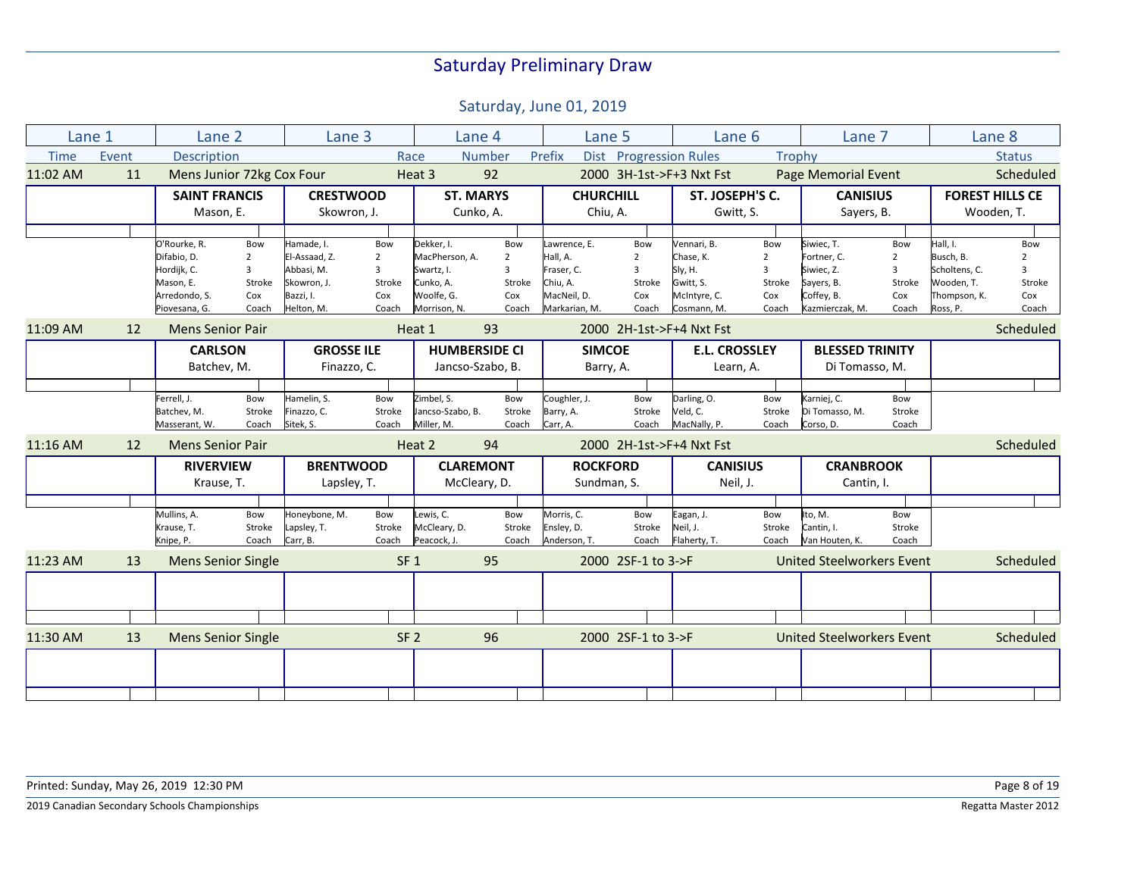| Lane 1      |       | Lane 2                        |        | Lane 3            |                 |                      | Lane 4           | Lane 5                |                          | Lane 6                   |        | Lane 7                           |                |               | Lane 8                 |
|-------------|-------|-------------------------------|--------|-------------------|-----------------|----------------------|------------------|-----------------------|--------------------------|--------------------------|--------|----------------------------------|----------------|---------------|------------------------|
| <b>Time</b> | Event | <b>Description</b>            |        |                   |                 | Race                 | <b>Number</b>    | Prefix<br><b>Dist</b> | <b>Progression Rules</b> |                          | Trophy |                                  |                |               | <b>Status</b>          |
| 11:02 AM    | 11    | Mens Junior 72kg Cox Four     |        |                   |                 | Heat 3               | 92               |                       |                          | 2000 3H-1st->F+3 Nxt Fst |        | Page Memorial Event              |                |               | Scheduled              |
|             |       | <b>SAINT FRANCIS</b>          |        | <b>CRESTWOOD</b>  |                 | <b>ST. MARYS</b>     |                  | <b>CHURCHILL</b>      |                          | ST. JOSEPH'S C.          |        | <b>CANISIUS</b>                  |                |               | <b>FOREST HILLS CE</b> |
|             |       | Mason, E.                     |        | Skowron, J.       |                 |                      | Cunko, A.        | Chiu, A.              |                          | Gwitt, S.                |        | Sayers, B.                       |                |               | Wooden, T.             |
|             |       |                               |        |                   |                 |                      |                  |                       |                          |                          |        |                                  |                |               |                        |
|             |       | O'Rourke, R.                  | Bow    | Hamade, I.        | Bow             | Dekker, I.           | Bow              | Lawrence, E.          | Bow                      | Vennari, B.              | Bow    | Siwiec, T.                       | Bow            | Hall, I.      | Bow                    |
|             |       | Difabio, D.<br>$\overline{2}$ |        | El-Assaad. Z.     | 2               | MacPherson. A.       | $\overline{2}$   | Hall, A.              | $\overline{2}$           | Chase, K.                | 2      | Fortner, C.                      | $\overline{2}$ | Busch, B.     | $\overline{2}$         |
|             |       | 3<br>Hordijk, C.              |        | Abbasi, M.        | 3               | Swartz, I.           | 3                | Fraser, C.            | 3                        | Sly, H.                  | 3      | Siwiec, Z.                       | 3              | Scholtens, C. | 3                      |
|             |       | Mason, E.                     | Stroke | Skowron. J.       | Stroke          | Cunko, A.            | Stroke           | Chiu, A.              | Stroke                   | Gwitt, S.                | Stroke | Sayers, B.                       | Stroke         | Wooden, T.    | Stroke                 |
|             |       | Arredondo, S.                 | Cox    | Bazzi, I.         | Cox             | Woolfe, G.           | Cox              | MacNeil, D.           | Cox                      | McIntyre, C.             | Cox    | Coffey, B.                       | Cox            | Thompson, K.  | Cox                    |
|             |       | Piovesana, G.                 | Coach  | Helton, M.        | Coach           | Morrison, N.         | Coach            | Markarian, M.         | Coach                    | Cosmann, M.              | Coach  | Kazmierczak, M.                  | Coach          | Ross, P.      | Coach                  |
| 11:09 AM    | 12    | <b>Mens Senior Pair</b>       |        |                   |                 | Heat 1               | 93               |                       |                          | 2000 2H-1st->F+4 Nxt Fst |        |                                  |                |               | Scheduled              |
|             |       | <b>CARLSON</b>                |        | <b>GROSSE ILE</b> |                 | <b>HUMBERSIDE CI</b> |                  | <b>SIMCOE</b>         |                          | <b>E.L. CROSSLEY</b>     |        | <b>BLESSED TRINITY</b>           |                |               |                        |
|             |       | Batchev, M.                   |        | Finazzo, C.       |                 |                      | Jancso-Szabo, B. | Barry, A.             |                          | Learn, A.                |        | Di Tomasso, M.                   |                |               |                        |
|             |       |                               |        |                   |                 |                      |                  |                       |                          |                          |        |                                  |                |               |                        |
|             |       | Ferrell, J.                   | Bow    | Hamelin, S.       | Bow             | Zimbel, S.           | Bow              | Coughler, J.          | Bow                      | Darling, O.              | Bow    | Karniej, C.                      | Bow            |               |                        |
|             |       | Batchev, M.                   | Stroke | Finazzo, C.       | Stroke          | Jancso-Szabo, B.     | Stroke           | Barry, A.             | Stroke                   | Veld, C.                 | Stroke | Di Tomasso, M.                   | Stroke         |               |                        |
|             |       | Masserant, W.                 | Coach  | Sitek, S.         | Coach           | Miller, M.           | Coach            | Carr, A.              | Coach                    | MacNally, P.             | Coach  | Corso, D.                        | Coach          |               |                        |
| 11:16 AM    | 12    | <b>Mens Senior Pair</b>       |        |                   |                 | Heat 2               | 94               |                       |                          | 2000 2H-1st->F+4 Nxt Fst |        |                                  |                |               | Scheduled              |
|             |       | <b>RIVERVIEW</b>              |        | <b>BRENTWOOD</b>  |                 | <b>CLAREMONT</b>     |                  | <b>ROCKFORD</b>       |                          | <b>CANISIUS</b>          |        | <b>CRANBROOK</b>                 |                |               |                        |
|             |       | Krause, T.                    |        | Lapsley, T.       |                 |                      | McCleary, D.     | Sundman, S.           |                          | Neil, J.                 |        | Cantin, I.                       |                |               |                        |
|             |       |                               |        |                   |                 |                      |                  |                       |                          |                          |        |                                  |                |               |                        |
|             |       | Mullins, A.                   | Bow    | Honeybone, M.     | Bow             | Lewis, C.            | Bow              | Morris. C.            | Bow                      | Eagan, J.                | Bow    | to, M.                           | Bow            |               |                        |
|             |       | Krause, T.                    | Stroke | Lapsley, T.       | Stroke          | McCleary, D.         | Stroke           | Ensley, D.            | Stroke                   | Neil, J.                 | Stroke | Cantin, I.                       | Stroke         |               |                        |
|             |       | Knipe, P.                     | Coach  | Carr, B.          | Coach           | Peacock, J.          | Coach            | Anderson, T.          | Coach                    | Flaherty, T.             | Coach  | Van Houten, K.                   | Coach          |               |                        |
| 11:23 AM    | 13    | <b>Mens Senior Single</b>     |        |                   | SF <sub>1</sub> |                      | 95               |                       | 2000 2SF-1 to 3->F       |                          |        | <b>United Steelworkers Event</b> |                |               | Scheduled              |
|             |       |                               |        |                   |                 |                      |                  |                       |                          |                          |        |                                  |                |               |                        |
|             |       |                               |        |                   |                 |                      |                  |                       |                          |                          |        |                                  |                |               |                        |
|             |       |                               |        |                   |                 |                      |                  |                       |                          |                          |        |                                  |                |               |                        |
| 11:30 AM    | 13    | <b>Mens Senior Single</b>     |        |                   | SF <sub>2</sub> |                      | 96               |                       | 2000 2SF-1 to 3->F       |                          |        | <b>United Steelworkers Event</b> |                |               | Scheduled              |
|             |       |                               |        |                   |                 |                      |                  |                       |                          |                          |        |                                  |                |               |                        |
|             |       |                               |        |                   |                 |                      |                  |                       |                          |                          |        |                                  |                |               |                        |
|             |       |                               |        |                   |                 |                      |                  |                       |                          |                          |        |                                  |                |               |                        |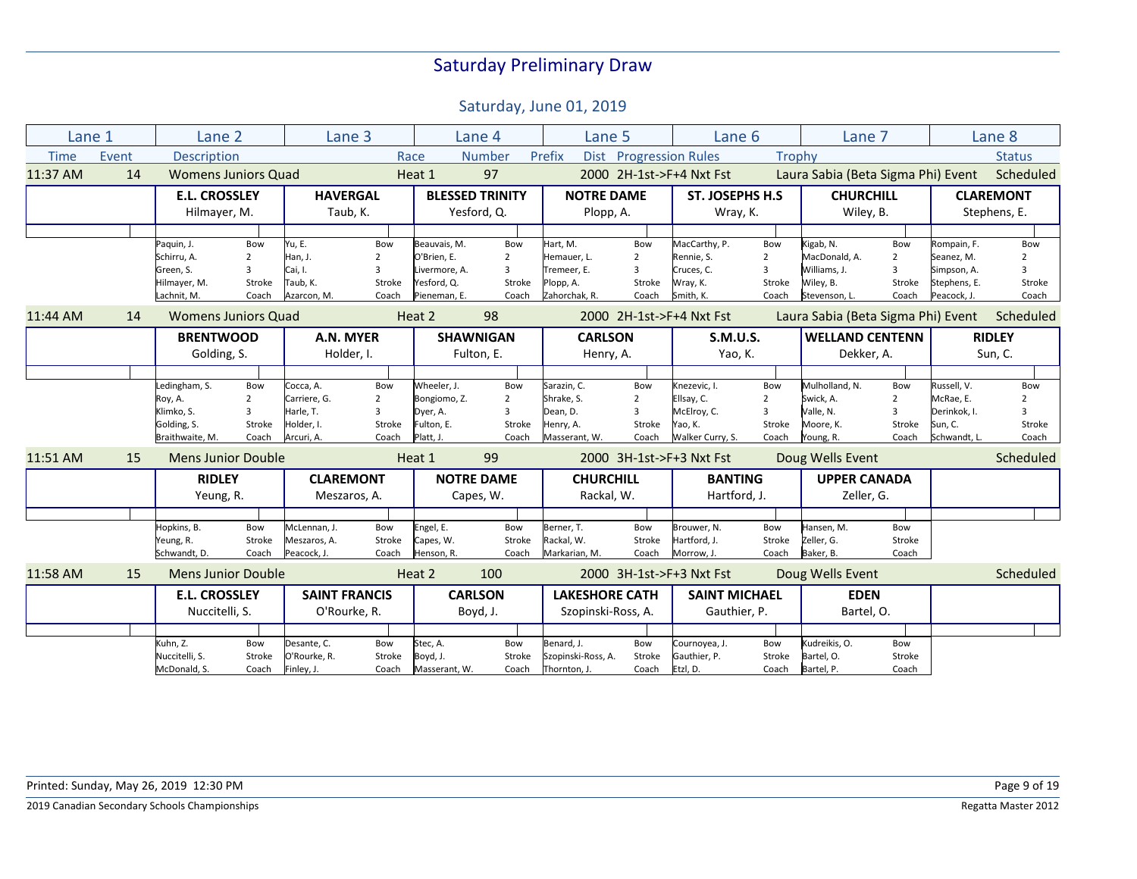| Lane 1      |       | Lane 2                     |                | Lane 3               |                |               | Lane 4                 | Lane 5                |                | Lane <sub>6</sub>        |                | Lane 7                             |                |              | Lane 8           |
|-------------|-------|----------------------------|----------------|----------------------|----------------|---------------|------------------------|-----------------------|----------------|--------------------------|----------------|------------------------------------|----------------|--------------|------------------|
| <b>Time</b> | Event | <b>Description</b>         |                |                      |                | Race          | <b>Number</b>          | Prefix                |                | Dist Progression Rules   | Trophy         |                                    |                |              | <b>Status</b>    |
| 11:37 AM    | 14    | <b>Womens Juniors Quad</b> |                |                      |                | Heat 1        | 97                     |                       |                | 2000 2H-1st->F+4 Nxt Fst |                | Laura Sabia (Beta Sigma Phi) Event |                |              | Scheduled        |
|             |       | <b>E.L. CROSSLEY</b>       |                | <b>HAVERGAL</b>      |                |               | <b>BLESSED TRINITY</b> | <b>NOTRE DAME</b>     |                | <b>ST. JOSEPHS H.S.</b>  |                | <b>CHURCHILL</b>                   |                |              | <b>CLAREMONT</b> |
|             |       | Hilmayer, M.               |                | Taub, K.             |                |               | Yesford, Q.            | Plopp, A.             |                | Wray, K.                 |                | Wiley, B.                          |                |              | Stephens, E.     |
|             |       |                            |                |                      |                |               |                        |                       |                |                          |                |                                    |                |              |                  |
|             |       | Paquin, J.                 | Bow            | Yu, E.               | Bow            | Beauvais. M.  | Bow                    | Hart, M.              | Bow            | MacCarthy, P.            | Bow            | Kigab, N.                          | Bow            | Rompain, F.  | Bow              |
|             |       | Schirru, A.                | $\overline{2}$ | Han, J.              | 2              | O'Brien, E.   | $\overline{2}$         | Hemauer, L.           | $\overline{2}$ | Rennie, S.               | $\overline{2}$ | MacDonald, A.                      | 2              | Seanez, M.   | $\overline{2}$   |
|             |       | Green, S.                  | 3              | Cai, I.              | 3              | Livermore, A. | 3                      | Tremeer, E.           | 3              | Cruces, C.               | 3              | Williams, J.                       | 3              | Simpson, A.  | 3                |
|             |       | Hilmayer, M.               | Stroke         | Taub, K.             | Stroke         | Yesford, Q.   | Stroke                 | Plopp, A.             | Stroke         | Wray, K.                 | Stroke         | Wiley, B.                          | Stroke         | Stephens, E. | Stroke           |
|             |       | Lachnit, M.                | Coach          | Azarcon, M.          | Coach          | Pieneman, E.  | Coach                  | Zahorchak, R.         | Coach          | Smith, K.                | Coach          | Stevenson, L.                      | Coach          | Peacock, J.  | Coach            |
| 11:44 AM    | 14    | <b>Womens Juniors Quad</b> |                |                      |                | Heat 2        | 98                     |                       |                | 2000 2H-1st->F+4 Nxt Fst |                | Laura Sabia (Beta Sigma Phi) Event |                |              | Scheduled        |
|             |       | <b>BRENTWOOD</b>           |                | A.N. MYER            |                |               | <b>SHAWNIGAN</b>       | <b>CARLSON</b>        |                | <b>S.M.U.S.</b>          |                | <b>WELLAND CENTENN</b>             |                |              | <b>RIDLEY</b>    |
|             |       | Golding, S.                |                | Holder, I.           |                |               | Fulton, E.             | Henry, A.             |                | Yao, K.                  |                | Dekker, A.                         |                |              | Sun, C.          |
|             |       |                            |                |                      |                |               |                        |                       |                |                          |                |                                    |                |              |                  |
|             |       | Ledingham, S.              | Bow            | Cocca, A.            | Bow            | Wheeler. J.   | Bow                    | Sarazin, C.           | Bow            | Knezevic, I.             | Bow            | Mulholland, N.                     | Bow            | Russell. V.  | Bow              |
|             |       | Roy, A.                    | $\overline{2}$ | Carriere. G.         | $\overline{2}$ | Bongiomo, Z.  | $\overline{2}$         | Shrake, S.            | $\overline{2}$ | Ellsav. C.               | $\overline{2}$ | Swick. A.                          | $\overline{2}$ | McRae. E.    | $\overline{2}$   |
|             |       | Klimko, S.                 | $\overline{3}$ | Harle, T.            | 3              | Dyer, A.      | 3                      | Dean, D.              | 3              | McElroy, C.              | ξ              | Valle, N.                          | 3              | Derinkok, I. | 3                |
|             |       | Golding, S.                | Stroke         | Holder, I.           | Stroke         | Fulton, E.    | Stroke                 | Henry, A.             | Stroke         | Yao, K.                  | Stroke         | Moore, K.                          | Stroke         | Sun, C.      | Stroke           |
|             |       | Braithwaite, M.            | Coach          | Arcuri, A.           | Coach          | Platt, J.     | Coach                  | Masserant, W.         | Coach          | Walker Curry, S.         | Coach          | Young, R.                          | Coach          | Schwandt, L. | Coach            |
| 11:51 AM    | 15    | <b>Mens Junior Double</b>  |                |                      |                | Heat 1        | 99                     |                       |                | 2000 3H-1st->F+3 Nxt Fst |                | Doug Wells Event                   |                |              | Scheduled        |
|             |       | <b>RIDLEY</b>              |                | <b>CLAREMONT</b>     |                |               | <b>NOTRE DAME</b>      | <b>CHURCHILL</b>      |                | <b>BANTING</b>           |                | <b>UPPER CANADA</b>                |                |              |                  |
|             |       |                            |                | Meszaros, A.         |                |               | Capes, W.              | Rackal, W.            |                | Hartford, J.             |                | Zeller, G.                         |                |              |                  |
|             |       | Yeung, R.                  |                |                      |                |               |                        |                       |                |                          |                |                                    |                |              |                  |
|             |       |                            |                |                      |                |               |                        |                       |                |                          |                |                                    |                |              |                  |
|             |       | Hopkins, B.                | Bow            | McLennan, J.         | Bow            | Engel, E.     | Bow                    | Berner, T.            | Bow            | Brouwer, N.              | Bow            | Hansen, M.                         | Bow            |              |                  |
|             |       | Yeung, R.                  | Stroke         | Meszaros, A.         | Stroke         | Capes, W.     | Stroke                 | Rackal, W.            | Stroke         | Hartford, J.             | Stroke         | Zeller, G.                         | Stroke         |              |                  |
|             |       | Schwandt, D.               | Coach          | Peacock, J.          | Coach          | Henson, R.    | Coach                  | Markarian, M.         | Coach          | Morrow, J.               | Coach          | Baker, B.                          | Coach          |              |                  |
| 11:58 AM    | 15    | <b>Mens Junior Double</b>  |                |                      |                | Heat 2        | 100                    |                       |                | 2000 3H-1st->F+3 Nxt Fst |                | Doug Wells Event                   |                |              | Scheduled        |
|             |       | <b>E.L. CROSSLEY</b>       |                | <b>SAINT FRANCIS</b> |                |               | <b>CARLSON</b>         | <b>LAKESHORE CATH</b> |                | <b>SAINT MICHAEL</b>     |                | <b>EDEN</b>                        |                |              |                  |
|             |       | Nuccitelli, S.             |                | O'Rourke, R.         |                |               | Boyd, J.               | Szopinski-Ross, A.    |                | Gauthier, P.             |                | Bartel, O.                         |                |              |                  |
|             |       |                            |                |                      |                |               |                        |                       |                |                          |                |                                    |                |              |                  |
|             |       | Kuhn, Z.                   | Bow            | Desante, C.          | Bow            | Stec, A.      | Bow                    | Benard. J.            | Bow            | Cournoyea, J.            | Bow            | Kudreikis, O.                      | Bow            |              |                  |
|             |       | Nuccitelli, S.             | Stroke         | O'Rourke, R.         | Stroke         | Boyd, J.      | Stroke                 | Szopinski-Ross, A.    | Stroke         | Gauthier, P.             | Stroke         | Bartel, O.                         | Stroke         |              |                  |
|             |       | McDonald, S.               | Coach          | Finley, J.           | Coach          | Masserant, W. | Coach                  | Thornton, J.          | Coach          | Etzl, D.                 | Coach          | Bartel, P.                         | Coach          |              |                  |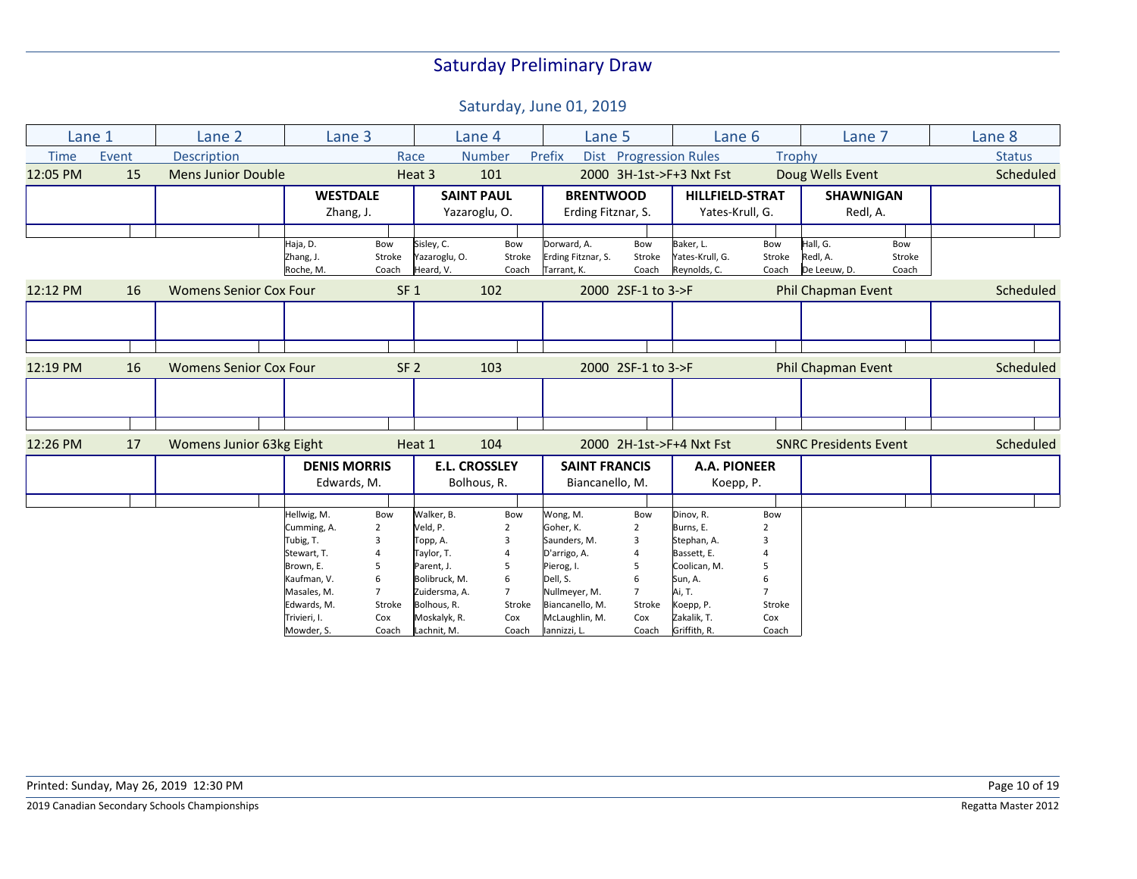| Lane 1      |       | Lane 2                        | Lane 3              |                 |               | Lane 4                  | Lane 5               |                    | Lane 6                   |        | Lane 7                       |        | Lane 8        |
|-------------|-------|-------------------------------|---------------------|-----------------|---------------|-------------------------|----------------------|--------------------|--------------------------|--------|------------------------------|--------|---------------|
| <b>Time</b> | Event | <b>Description</b>            |                     |                 | Race          | <b>Number</b>           | Prefix               |                    | Dist Progression Rules   | Trophy |                              |        | <b>Status</b> |
| 12:05 PM    | 15    | <b>Mens Junior Double</b>     |                     |                 | Heat 3        | 101                     |                      |                    | 2000 3H-1st->F+3 Nxt Fst |        | Doug Wells Event             |        | Scheduled     |
|             |       |                               | <b>WESTDALE</b>     |                 |               | <b>SAINT PAUL</b>       | <b>BRENTWOOD</b>     |                    | <b>HILLFIELD-STRAT</b>   |        | <b>SHAWNIGAN</b>             |        |               |
|             |       |                               | Zhang, J.           |                 |               | Yazaroglu, O.           | Erding Fitznar, S.   |                    | Yates-Krull, G.          |        | Redl, A.                     |        |               |
|             |       |                               |                     |                 |               |                         |                      |                    |                          |        |                              |        |               |
|             |       |                               | Haja, D.            | Bow             | Sisley, C.    | Bow                     | Dorward, A.          | Bow                | Baker, L.                | Bow    | Hall, G.                     | Bow    |               |
|             |       |                               | Zhang, J.           | Stroke          | Yazaroglu, O. | Stroke                  | Erding Fitznar, S.   | Stroke             | Yates-Krull, G.          | Stroke | Redl, A.                     | Stroke |               |
|             |       |                               | Roche, M.           | Coach           | Heard, V.     | Coach                   | Tarrant, K.          | Coach              | Reynolds, C.             | Coach  | De Leeuw, D.                 | Coach  |               |
| 12:12 PM    | 16    | <b>Womens Senior Cox Four</b> |                     | SF <sub>1</sub> |               | 102                     |                      | 2000 2SF-1 to 3->F |                          |        | Phil Chapman Event           |        | Scheduled     |
|             |       |                               |                     |                 |               |                         |                      |                    |                          |        |                              |        |               |
|             |       |                               |                     |                 |               |                         |                      |                    |                          |        |                              |        |               |
|             |       |                               |                     |                 |               |                         |                      |                    |                          |        |                              |        |               |
| 12:19 PM    | 16    | <b>Womens Senior Cox Four</b> |                     | SF <sub>2</sub> |               | 103                     |                      | 2000 2SF-1 to 3->F |                          |        | Phil Chapman Event           |        | Scheduled     |
|             |       |                               |                     |                 |               |                         |                      |                    |                          |        |                              |        |               |
|             |       |                               |                     |                 |               |                         |                      |                    |                          |        |                              |        |               |
|             |       |                               |                     |                 |               |                         |                      |                    |                          |        |                              |        |               |
| 12:26 PM    | 17    | Womens Junior 63kg Eight      |                     |                 | Heat 1        | 104                     |                      |                    | 2000 2H-1st->F+4 Nxt Fst |        | <b>SNRC Presidents Event</b> |        | Scheduled     |
|             |       |                               | <b>DENIS MORRIS</b> |                 |               | <b>E.L. CROSSLEY</b>    | <b>SAINT FRANCIS</b> |                    | A.A. PIONEER             |        |                              |        |               |
|             |       |                               | Edwards, M.         |                 |               | Bolhous, R.             | Biancanello, M.      |                    | Koepp, P.                |        |                              |        |               |
|             |       |                               |                     |                 |               |                         |                      |                    |                          |        |                              |        |               |
|             |       |                               | Hellwig, M.         | Bow             | Walker, B.    | Bow                     | Wong, M.             | Bow                | Dinov, R.                | Bow    |                              |        |               |
|             |       |                               | Cumming, A.         | $\overline{2}$  | Veld, P.      | $\overline{2}$          | Goher, K.            | $\overline{2}$     | Burns, E.                |        |                              |        |               |
|             |       |                               | Tubig, T.           |                 | Topp, A.      | $\overline{\mathbf{3}}$ | Saunders, M.         | 3                  | Stephan, A.              |        |                              |        |               |
|             |       |                               | Stewart, T.         |                 | Taylor, T.    |                         | D'arrigo, A.         | 4                  | Bassett, E.              |        |                              |        |               |
|             |       |                               | Brown, E.           | 5               | Parent, J.    | 5                       | Pierog, I.           | 5                  | Coolican, M.             |        |                              |        |               |
|             |       |                               | Kaufman, V.         |                 | Bolibruck, M. | 6                       | Dell, S.             | 6                  | Sun, A.                  |        |                              |        |               |
|             |       |                               | Masales, M.         |                 | Zuidersma, A. | $\overline{7}$          | Nullmeyer, M.        | $\overline{7}$     | Ai, T.                   |        |                              |        |               |
|             |       |                               | Edwards, M.         | Stroke          | Bolhous, R.   | Stroke                  | Biancanello, M.      | Stroke             | Koepp, P.                | Stroke |                              |        |               |
|             |       |                               | Trivieri, I.        | Cox             | Moskalyk, R.  | Cox                     | McLaughlin, M.       | Cox                | Zakalik, T.              | Cox    |                              |        |               |
|             |       |                               | Mowder, S.          | Coach           | Lachnit, M.   | Coach                   | lannizzi, L.         | Coach              | Griffith, R.             | Coach  |                              |        |               |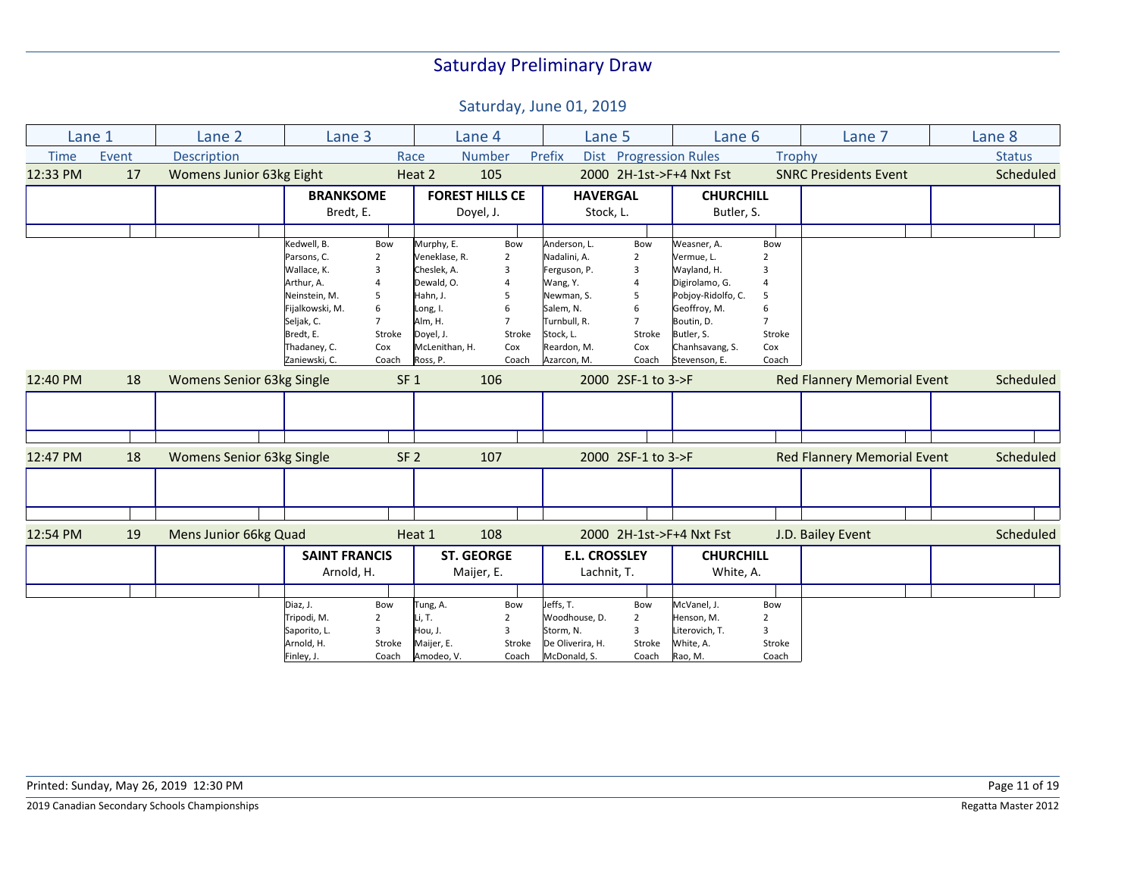| Lane 1      |       | Lane 2                           | Lane 3               |                 |                        | Lane 4         | Lane 5               |                        | Lane <sub>6</sub>        |                | Lane 7                             | Lane 8        |
|-------------|-------|----------------------------------|----------------------|-----------------|------------------------|----------------|----------------------|------------------------|--------------------------|----------------|------------------------------------|---------------|
| <b>Time</b> | Event | <b>Description</b>               |                      |                 | Race                   | <b>Number</b>  | Prefix               | Dist Progression Rules |                          | <b>Trophy</b>  |                                    | <b>Status</b> |
| 12:33 PM    | 17    | <b>Womens Junior 63kg Eight</b>  |                      |                 | Heat 2                 | 105            |                      |                        | 2000 2H-1st->F+4 Nxt Fst |                | <b>SNRC Presidents Event</b>       | Scheduled     |
|             |       |                                  | <b>BRANKSOME</b>     |                 | <b>FOREST HILLS CE</b> |                | <b>HAVERGAL</b>      |                        | <b>CHURCHILL</b>         |                |                                    |               |
|             |       |                                  | Bredt, E.            |                 | Doyel, J.              |                | Stock, L.            |                        | Butler, S.               |                |                                    |               |
|             |       |                                  |                      |                 |                        |                |                      |                        |                          |                |                                    |               |
|             |       |                                  | Kedwell, B.          | Bow             | Murphy, E.             | Bow            | Anderson, L.         | Bow                    | Weasner, A.              | Bow            |                                    |               |
|             |       |                                  | Parsons, C.          | $\overline{2}$  | Veneklase, R.          | $\overline{2}$ | Nadalini, A.         | $\overline{2}$         | Vermue, L.               |                |                                    |               |
|             |       |                                  | Wallace, K.          | 3               | Cheslek, A.            | 3              | Ferguson, P.         | 3                      | Wayland, H.              |                |                                    |               |
|             |       |                                  | Arthur, A.           |                 | Dewald, O.             | 4              | Wang, Y.             | $\overline{4}$         | Digirolamo, G.           |                |                                    |               |
|             |       |                                  | Neinstein, M.        | 5               | Hahn, J.               | 5              | Newman, S.           | 5                      | Pobjoy-Ridolfo, C.       | .5             |                                    |               |
|             |       |                                  | Fijalkowski, M.      | 6               | Long, I.               | 6              | Salem, N.            | 6                      | Geoffroy, M.             |                |                                    |               |
|             |       |                                  | Seljak, C.           |                 | Alm, H.                | $\overline{7}$ | Turnbull, R.         | $\overline{7}$         | Boutin, D.               | $\overline{7}$ |                                    |               |
|             |       |                                  | Bredt, E.            | Stroke          | Doyel, J.              | Stroke         | Stock, L.            | Stroke                 | Butler, S.               | Stroke         |                                    |               |
|             |       |                                  | Thadaney, C.         | Cox             | McLenithan, H.         | Cox            | Reardon, M.          | Cox                    | Chanhsavang, S.          | Cox            |                                    |               |
|             |       |                                  | Zaniewski, C.        | Coach           | Ross, P.               | Coach          | Azarcon, M.          | Coach                  | Stevenson, E.            | Coach          |                                    |               |
| 12:40 PM    | 18    | <b>Womens Senior 63kg Single</b> |                      | SF <sub>1</sub> |                        | 106            |                      | 2000 2SF-1 to 3->F     |                          |                | <b>Red Flannery Memorial Event</b> | Scheduled     |
|             |       |                                  |                      |                 |                        |                |                      |                        |                          |                |                                    |               |
|             |       |                                  |                      |                 |                        |                |                      |                        |                          |                |                                    |               |
|             |       |                                  |                      |                 |                        |                |                      |                        |                          |                |                                    |               |
| 12:47 PM    | 18    | Womens Senior 63kg Single        |                      | SF <sub>2</sub> |                        | 107            |                      | 2000 2SF-1 to 3->F     |                          |                | <b>Red Flannery Memorial Event</b> | Scheduled     |
|             |       |                                  |                      |                 |                        |                |                      |                        |                          |                |                                    |               |
|             |       |                                  |                      |                 |                        |                |                      |                        |                          |                |                                    |               |
|             |       |                                  |                      |                 |                        |                |                      |                        |                          |                |                                    |               |
| 12:54 PM    | 19    | Mens Junior 66kg Quad            |                      |                 | Heat 1                 | 108            |                      |                        | 2000 2H-1st->F+4 Nxt Fst |                | J.D. Bailey Event                  | Scheduled     |
|             |       |                                  | <b>SAINT FRANCIS</b> |                 | <b>ST. GEORGE</b>      |                | <b>E.L. CROSSLEY</b> |                        | <b>CHURCHILL</b>         |                |                                    |               |
|             |       |                                  | Arnold, H.           |                 | Maijer, E.             |                | Lachnit, T.          |                        | White, A.                |                |                                    |               |
|             |       |                                  |                      |                 |                        |                |                      |                        |                          |                |                                    |               |
|             |       |                                  | Diaz, J.             | Bow             | Tung, A.               | Bow            | Jeffs, T.            | Bow                    | McVanel, J.              | Bow            |                                    |               |
|             |       |                                  | Tripodi, M.          | 2               | Li, T.                 | $\overline{2}$ | Woodhouse, D.        | $\overline{2}$         | Henson, M.               | 2              |                                    |               |
|             |       |                                  | Saporito, L.         |                 | Hou, J.                | 3              | Storm, N.            | 3                      | Literovich, T.           | 3              |                                    |               |
|             |       |                                  | Arnold, H.           | Stroke          | Maijer, E.             | Stroke         | De Oliverira, H.     | Stroke                 | White, A.                | Stroke         |                                    |               |
|             |       |                                  | Finley, J.           | Coach           | Amodeo, V.             | Coach          | McDonald, S.         | Coach                  | Rao, M.                  | Coach          |                                    |               |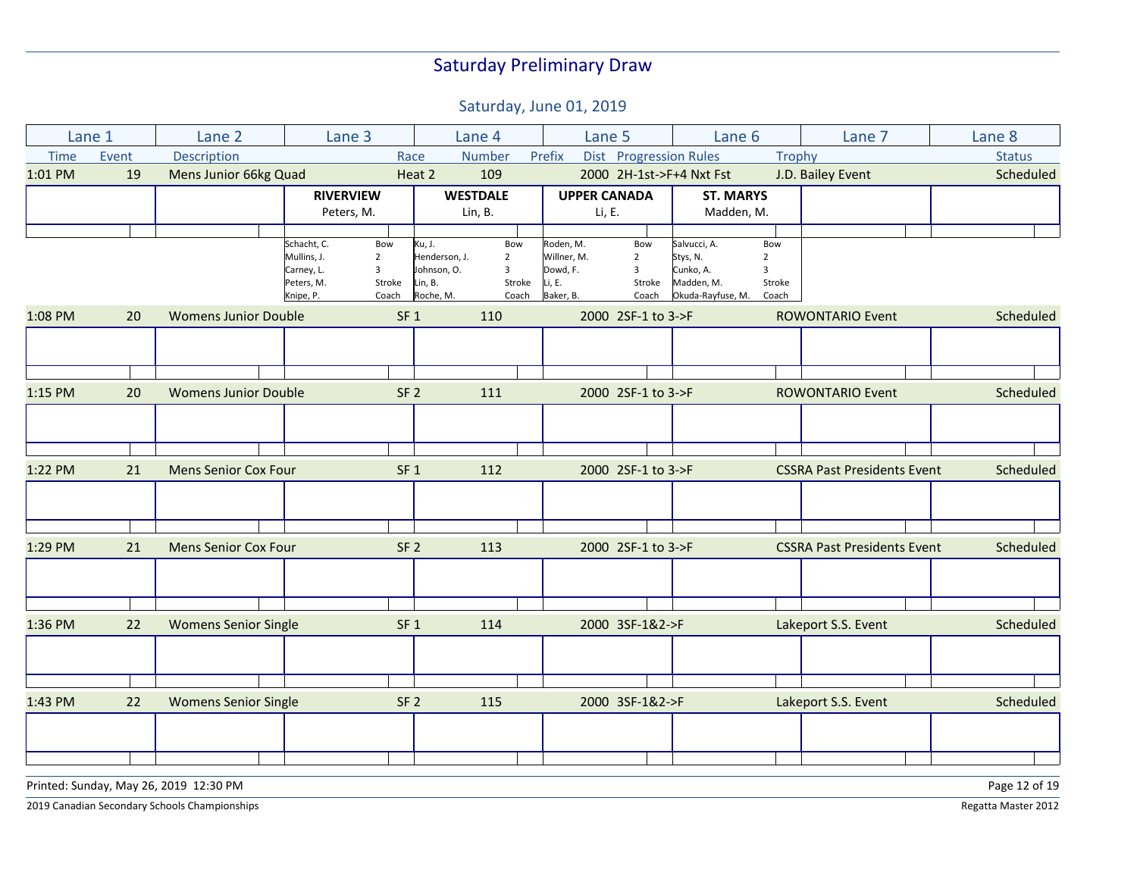Saturday, June 01, 2019

| <b>Number</b><br>Event<br>Description<br>Prefix<br>Dist Progression Rules<br><b>Status</b><br><b>Time</b><br>Race<br>Trophy<br>Mens Junior 66kg Quad<br>109<br>2000 2H-1st->F+4 Nxt Fst<br>J.D. Bailey Event<br>1:01 PM<br>19<br>Heat 2<br><b>RIVERVIEW</b><br><b>WESTDALE</b><br><b>UPPER CANADA</b><br><b>ST. MARYS</b><br>Lin, B.<br>Li, E.<br>Madden, M.<br>Peters, M.<br>Schacht, C.<br>Salvucci, A.<br>Bow<br>Ku, J.<br>Bow<br>Roden, M.<br>Bow<br>Bow<br>Mullins, J.<br>Henderson, J.<br>Willner, M.<br>$\overline{2}$<br>$\overline{2}$<br>$\overline{2}$<br>Stys, N.<br>$\overline{2}$<br>Carney, L.<br>Johnson, O.<br>Dowd, F.<br>Cunko, A.<br>3<br>$\overline{3}$<br>3<br>3<br>Peters, M.<br>Lin, B.<br>Stroke<br>Li, E.<br>Stroke<br>Madden, M.<br>Stroke<br>Stroke<br>Roche, M.<br>Coach<br>Baker, B.<br>Okuda-Rayfuse, M.<br>Knipe, P.<br>Coach<br>Coach<br>Coach<br><b>Womens Junior Double</b><br>110<br>2000 2SF-1 to 3->F<br><b>ROWONTARIO Event</b><br>20<br>SF <sub>1</sub> |           |
|-------------------------------------------------------------------------------------------------------------------------------------------------------------------------------------------------------------------------------------------------------------------------------------------------------------------------------------------------------------------------------------------------------------------------------------------------------------------------------------------------------------------------------------------------------------------------------------------------------------------------------------------------------------------------------------------------------------------------------------------------------------------------------------------------------------------------------------------------------------------------------------------------------------------------------------------------------------------------------------------------|-----------|
| 1:08 PM                                                                                                                                                                                                                                                                                                                                                                                                                                                                                                                                                                                                                                                                                                                                                                                                                                                                                                                                                                                         |           |
|                                                                                                                                                                                                                                                                                                                                                                                                                                                                                                                                                                                                                                                                                                                                                                                                                                                                                                                                                                                                 | Scheduled |
|                                                                                                                                                                                                                                                                                                                                                                                                                                                                                                                                                                                                                                                                                                                                                                                                                                                                                                                                                                                                 |           |
|                                                                                                                                                                                                                                                                                                                                                                                                                                                                                                                                                                                                                                                                                                                                                                                                                                                                                                                                                                                                 |           |
|                                                                                                                                                                                                                                                                                                                                                                                                                                                                                                                                                                                                                                                                                                                                                                                                                                                                                                                                                                                                 |           |
|                                                                                                                                                                                                                                                                                                                                                                                                                                                                                                                                                                                                                                                                                                                                                                                                                                                                                                                                                                                                 |           |
|                                                                                                                                                                                                                                                                                                                                                                                                                                                                                                                                                                                                                                                                                                                                                                                                                                                                                                                                                                                                 |           |
|                                                                                                                                                                                                                                                                                                                                                                                                                                                                                                                                                                                                                                                                                                                                                                                                                                                                                                                                                                                                 |           |
|                                                                                                                                                                                                                                                                                                                                                                                                                                                                                                                                                                                                                                                                                                                                                                                                                                                                                                                                                                                                 |           |
|                                                                                                                                                                                                                                                                                                                                                                                                                                                                                                                                                                                                                                                                                                                                                                                                                                                                                                                                                                                                 | Scheduled |
|                                                                                                                                                                                                                                                                                                                                                                                                                                                                                                                                                                                                                                                                                                                                                                                                                                                                                                                                                                                                 |           |
|                                                                                                                                                                                                                                                                                                                                                                                                                                                                                                                                                                                                                                                                                                                                                                                                                                                                                                                                                                                                 |           |
| 2000 2SF-1 to 3->F<br>1:15 PM<br><b>Womens Junior Double</b><br>SF <sub>2</sub><br>111<br><b>ROWONTARIO Event</b><br>20                                                                                                                                                                                                                                                                                                                                                                                                                                                                                                                                                                                                                                                                                                                                                                                                                                                                         | Scheduled |
|                                                                                                                                                                                                                                                                                                                                                                                                                                                                                                                                                                                                                                                                                                                                                                                                                                                                                                                                                                                                 |           |
|                                                                                                                                                                                                                                                                                                                                                                                                                                                                                                                                                                                                                                                                                                                                                                                                                                                                                                                                                                                                 |           |
|                                                                                                                                                                                                                                                                                                                                                                                                                                                                                                                                                                                                                                                                                                                                                                                                                                                                                                                                                                                                 |           |
|                                                                                                                                                                                                                                                                                                                                                                                                                                                                                                                                                                                                                                                                                                                                                                                                                                                                                                                                                                                                 |           |
| 21<br><b>Mens Senior Cox Four</b><br>112<br>2000 2SF-1 to 3->F<br><b>CSSRA Past Presidents Event</b><br>1:22 PM<br>SF <sub>1</sub>                                                                                                                                                                                                                                                                                                                                                                                                                                                                                                                                                                                                                                                                                                                                                                                                                                                              | Scheduled |
|                                                                                                                                                                                                                                                                                                                                                                                                                                                                                                                                                                                                                                                                                                                                                                                                                                                                                                                                                                                                 |           |
|                                                                                                                                                                                                                                                                                                                                                                                                                                                                                                                                                                                                                                                                                                                                                                                                                                                                                                                                                                                                 |           |
|                                                                                                                                                                                                                                                                                                                                                                                                                                                                                                                                                                                                                                                                                                                                                                                                                                                                                                                                                                                                 |           |
| <b>CSSRA Past Presidents Event</b><br>1:29 PM<br>21<br><b>Mens Senior Cox Four</b><br>SF <sub>2</sub><br>113<br>2000 2SF-1 to 3->F                                                                                                                                                                                                                                                                                                                                                                                                                                                                                                                                                                                                                                                                                                                                                                                                                                                              | Scheduled |
|                                                                                                                                                                                                                                                                                                                                                                                                                                                                                                                                                                                                                                                                                                                                                                                                                                                                                                                                                                                                 |           |
|                                                                                                                                                                                                                                                                                                                                                                                                                                                                                                                                                                                                                                                                                                                                                                                                                                                                                                                                                                                                 |           |
|                                                                                                                                                                                                                                                                                                                                                                                                                                                                                                                                                                                                                                                                                                                                                                                                                                                                                                                                                                                                 |           |
| 2000 3SF-1&2->F<br>Lakeport S.S. Event<br>1:36 PM<br>22<br><b>Womens Senior Single</b><br>SF <sub>1</sub><br>114                                                                                                                                                                                                                                                                                                                                                                                                                                                                                                                                                                                                                                                                                                                                                                                                                                                                                | Scheduled |
|                                                                                                                                                                                                                                                                                                                                                                                                                                                                                                                                                                                                                                                                                                                                                                                                                                                                                                                                                                                                 |           |
|                                                                                                                                                                                                                                                                                                                                                                                                                                                                                                                                                                                                                                                                                                                                                                                                                                                                                                                                                                                                 |           |
|                                                                                                                                                                                                                                                                                                                                                                                                                                                                                                                                                                                                                                                                                                                                                                                                                                                                                                                                                                                                 |           |
| 1:43 PM<br>22<br><b>Womens Senior Single</b><br>SF <sub>2</sub><br>115<br>2000 3SF-1&2->F<br>Lakeport S.S. Event                                                                                                                                                                                                                                                                                                                                                                                                                                                                                                                                                                                                                                                                                                                                                                                                                                                                                | Scheduled |
|                                                                                                                                                                                                                                                                                                                                                                                                                                                                                                                                                                                                                                                                                                                                                                                                                                                                                                                                                                                                 |           |
|                                                                                                                                                                                                                                                                                                                                                                                                                                                                                                                                                                                                                                                                                                                                                                                                                                                                                                                                                                                                 |           |
|                                                                                                                                                                                                                                                                                                                                                                                                                                                                                                                                                                                                                                                                                                                                                                                                                                                                                                                                                                                                 |           |

Printed: Sunday, May 26, 2019 12:30 PM Page 12 of 19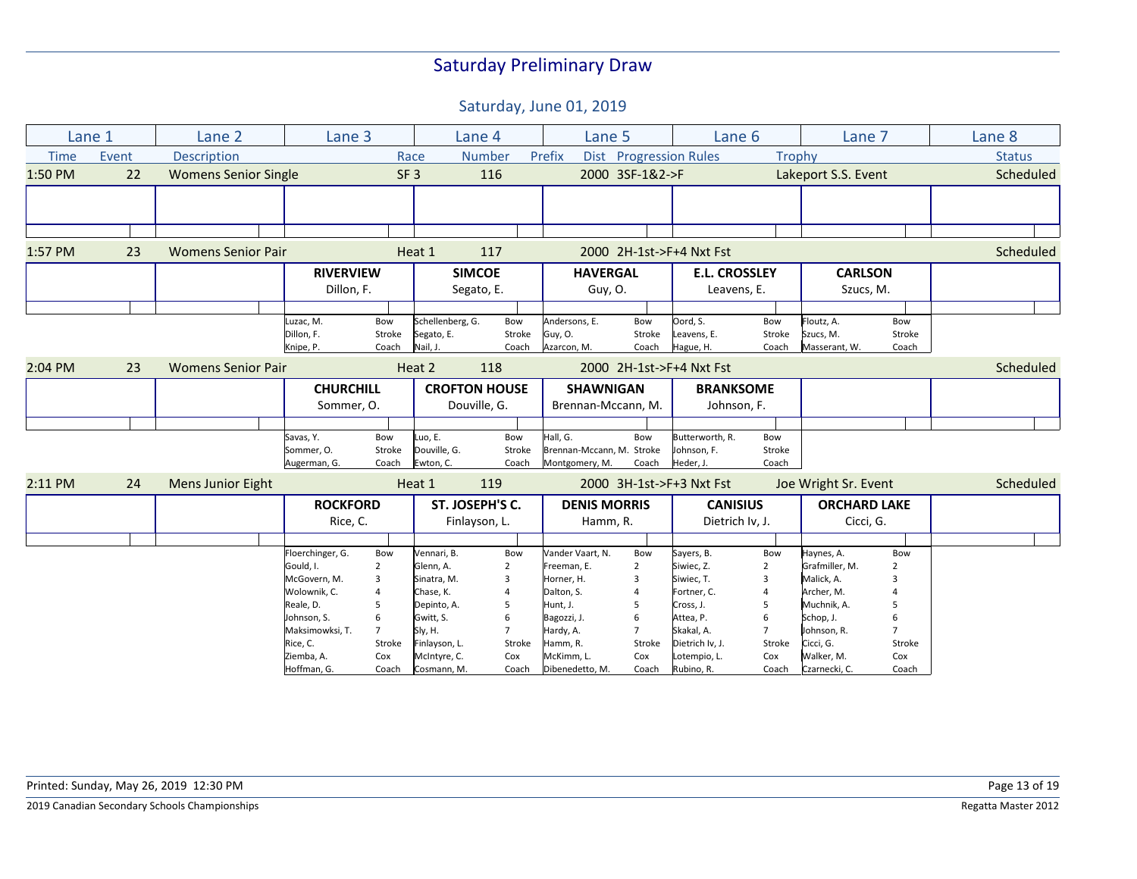|             | Lane 1 | Lane 2                      | Lane 3                  |                 |                                | Lane 4               | Lane 5                    |                        | Lane 6                   |                     | Lane 7                  |                     | Lane 8        |
|-------------|--------|-----------------------------|-------------------------|-----------------|--------------------------------|----------------------|---------------------------|------------------------|--------------------------|---------------------|-------------------------|---------------------|---------------|
| <b>Time</b> | Event  | Description                 |                         | Race            |                                | <b>Number</b>        | Prefix                    | Dist Progression Rules |                          | Trophy              |                         |                     | <b>Status</b> |
| 1:50 PM     | 22     | <b>Womens Senior Single</b> |                         | SF <sub>3</sub> | 116                            |                      |                           | 2000 3SF-1&2->F        |                          | Lakeport S.S. Event |                         |                     | Scheduled     |
|             |        |                             |                         |                 |                                |                      |                           |                        |                          |                     |                         |                     |               |
|             |        |                             |                         |                 |                                |                      |                           |                        |                          |                     |                         |                     |               |
|             |        |                             |                         |                 |                                |                      |                           |                        |                          |                     |                         |                     |               |
| 1:57 PM     | 23     | <b>Womens Senior Pair</b>   |                         |                 | Heat 1                         | 117                  |                           |                        | 2000 2H-1st->F+4 Nxt Fst |                     |                         |                     | Scheduled     |
|             |        |                             |                         |                 |                                |                      |                           |                        |                          |                     |                         |                     |               |
|             |        |                             | <b>RIVERVIEW</b>        |                 |                                | <b>SIMCOE</b>        | <b>HAVERGAL</b>           |                        | <b>E.L. CROSSLEY</b>     |                     | <b>CARLSON</b>          |                     |               |
|             |        |                             | Dillon, F.              |                 |                                | Segato, E.           | Guy, O.                   |                        | Leavens, E.              |                     | Szucs, M.               |                     |               |
|             |        |                             |                         |                 |                                |                      |                           |                        |                          |                     |                         |                     |               |
|             |        |                             | Luzac, M.<br>Dillon, F. | Bow<br>Stroke   | Schellenberg, G.<br>Segato, E. | Bow<br>Stroke        | Andersons, E.<br>Guy, O.  | Bow<br>Stroke          | Oord, S.<br>Leavens, E.  | Bow<br>Stroke       | Floutz, A.<br>Szucs, M. | Bow<br>Stroke       |               |
|             |        |                             | Knipe, P.               | Coach           | Nail, J.                       | Coach                | Azarcon, M.               | Coach                  | Hague, H.                | Coach               | Masserant, W.           | Coach               |               |
| 2:04 PM     | 23     | <b>Womens Senior Pair</b>   |                         |                 | Heat 2                         | 118                  |                           |                        | 2000 2H-1st->F+4 Nxt Fst |                     |                         |                     | Scheduled     |
|             |        |                             | <b>CHURCHILL</b>        |                 |                                | <b>CROFTON HOUSE</b> | <b>SHAWNIGAN</b>          |                        | <b>BRANKSOME</b>         |                     |                         |                     |               |
|             |        |                             | Sommer, O.              |                 |                                | Douville, G.         | Brennan-Mccann, M.        |                        | Johnson, F.              |                     |                         |                     |               |
|             |        |                             |                         |                 |                                |                      |                           |                        |                          |                     |                         |                     |               |
|             |        |                             | Savas, Y.               | Bow             | Luo, E.                        | Bow                  | Hall. G.                  | Bow                    | Butterworth, R.          | Bow                 |                         |                     |               |
|             |        |                             | Sommer, O.              | Stroke          | Douville, G.                   | Stroke               | Brennan-Mccann, M. Stroke |                        | Johnson, F.              | Stroke              |                         |                     |               |
|             |        |                             | Augerman, G.            | Coach           | Ewton, C.                      | Coach                | Montgomery, M.            | Coach                  | Heder, J.                | Coach               |                         |                     |               |
| 2:11 PM     | 24     | <b>Mens Junior Eight</b>    |                         |                 | Heat 1                         | 119                  |                           |                        | 2000 3H-1st->F+3 Nxt Fst |                     | Joe Wright Sr. Event    |                     | Scheduled     |
|             |        |                             | <b>ROCKFORD</b>         |                 |                                | ST. JOSEPH'S C.      |                           | <b>DENIS MORRIS</b>    |                          | <b>CANISIUS</b>     |                         | <b>ORCHARD LAKE</b> |               |
|             |        |                             | Rice, C.                |                 |                                | Finlayson, L.        |                           | Hamm, R.               |                          | Dietrich Iv, J.     |                         | Cicci, G.           |               |
|             |        |                             |                         |                 |                                |                      |                           |                        |                          |                     |                         |                     |               |
|             |        |                             | Floerchinger, G.        | Bow             | Vennari, B.                    | Bow                  | Vander Vaart, N.          | Bow                    | Sayers, B.               | Bow                 | Haynes, A.              | Bow                 |               |
|             |        |                             | Gould, I.               | $\overline{2}$  | Glenn, A.                      | $\overline{2}$       | Freeman, E.               | $\overline{2}$         | Siwiec, Z.               | 2                   | Grafmiller, M.          | $\overline{2}$      |               |
|             |        |                             | McGovern, M.            | 3               | Sinatra, M.                    | 3                    | Horner, H.                | 3                      | Siwiec, T.               | $\overline{3}$      | Malick, A.              | з                   |               |
|             |        |                             | Wolownik, C.            |                 | Chase, K.                      | 4                    | Dalton, S.                | $\overline{4}$         | Fortner, C.              | $\overline{4}$      | Archer. M.              |                     |               |
|             |        |                             | Reale, D.               | 5               | Depinto, A.                    | 5                    | Hunt, J.                  | 5                      | Cross, J.                | 5                   | Muchnik, A.             | 5                   |               |
|             |        |                             | Johnson, S.             | 6               | Gwitt, S.                      | 6                    | Bagozzi, J.               | 6                      | Attea, P.                | 6                   | Schop, J.               | 6                   |               |
|             |        |                             | Maksimowksi, T.         | $\overline{7}$  | Sly, H.                        | $\overline{7}$       | Hardy, A.                 | $\overline{7}$         | Skakal, A.               |                     | Johnson, R.             | $\overline{7}$      |               |
|             |        |                             | Rice, C.                | Stroke          | Finlayson, L.                  | Stroke               | Hamm, R.                  | Stroke                 | Dietrich Iv, J.          | Stroke              | Cicci, G.               | Stroke              |               |
|             |        |                             | Ziemba, A.              | Cox             | McIntyre, C.                   | Cox                  | McKimm, L.                | Cox                    | Lotempio, L.             | Cox                 | Walker, M.              | Cox                 |               |
|             |        |                             | Hoffman, G.             | Coach           | Cosmann, M.                    | Coach                | Dibenedetto, M.           | Coach                  | Rubino, R.               | Coach               | Czarnecki, C.           | Coach               |               |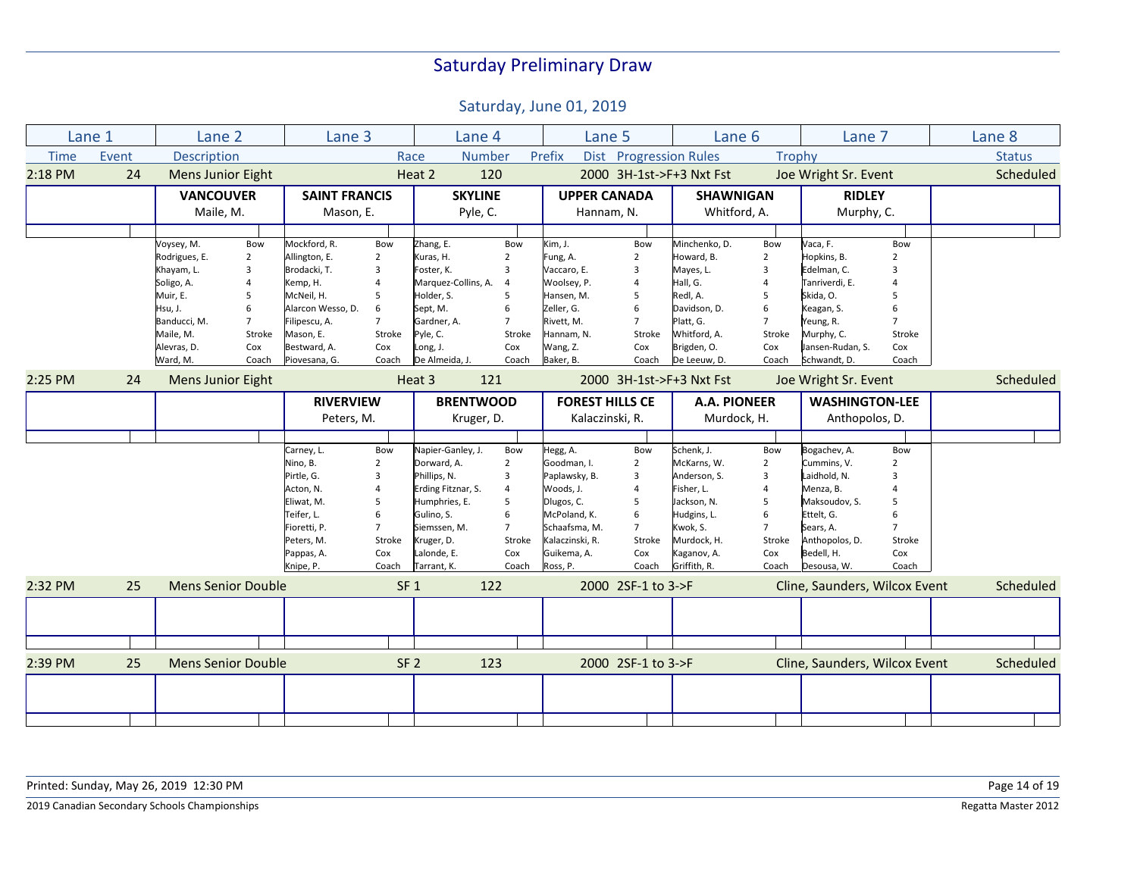|             | Lane 1 | Lane 2                    |                | Lane 3               |                 | Lane 4              |                | Lane 5                 |                          | Lane 6                   |                | Lane 7                        |                          | Lane 8        |
|-------------|--------|---------------------------|----------------|----------------------|-----------------|---------------------|----------------|------------------------|--------------------------|--------------------------|----------------|-------------------------------|--------------------------|---------------|
| <b>Time</b> | Event  | <b>Description</b>        |                |                      | Race            | <b>Number</b>       |                | Prefix                 | Dist Progression Rules   |                          | Trophy         |                               |                          | <b>Status</b> |
| 2:18 PM     | 24     | <b>Mens Junior Eight</b>  |                |                      |                 | Heat 2              | 120            |                        |                          | 2000 3H-1st->F+3 Nxt Fst |                | Joe Wright Sr. Event          |                          | Scheduled     |
|             |        | <b>VANCOUVER</b>          |                | <b>SAINT FRANCIS</b> |                 | <b>SKYLINE</b>      |                | <b>UPPER CANADA</b>    |                          | <b>SHAWNIGAN</b>         |                | <b>RIDLEY</b>                 |                          |               |
|             |        | Maile, M.                 |                | Mason, E.            |                 | Pyle, C.            |                | Hannam, N.             |                          | Whitford, A.             |                | Murphy, C.                    |                          |               |
|             |        |                           |                |                      |                 |                     |                |                        |                          |                          |                |                               |                          |               |
|             |        | Voysey, M.                | Bow            | Mockford, R.         | Bow             | Zhang, E.           | Bow            | Kim, J.                | Bow                      | Minchenko, D.            | Bow            | Vaca, F.                      | Bow                      |               |
|             |        | Rodrigues, E.             | $\overline{2}$ | Allington, E.        | 2               | Kuras, H.           | $\overline{2}$ | Fung, A.               | $\overline{2}$           | Howard, B.               | $\overline{2}$ | Hopkins, B.                   | $\overline{\phantom{0}}$ |               |
|             |        | Khayam, L.                | 3              | Brodacki, T.         | 3               | Foster, K.          | 3              | Vaccaro, E.            | $\overline{3}$           | Mayes, L.                | 3              | Edelman, C.                   | 3                        |               |
|             |        | Soligo, A.                | $\overline{4}$ | Kemp, H.             |                 | Marquez-Collins, A. | $\overline{4}$ | Woolsey, P.            | $\overline{4}$           | Hall, G.                 |                | Tanriverdi, E.                |                          |               |
|             |        | Muir, E.                  | 5              | McNeil, H.           | 5               | Holder, S.          | 5              | Hansen, M.             | 5                        | Redl, A.                 | 5              | Skida, O.                     | 5                        |               |
|             |        | Hsu, J.                   | 6              | Alarcon Wesso, D.    | 6               | Sept, M.            | 6              | Zeller, G.             | 6                        | Davidson, D.             | 6              | Keagan, S.                    | 6                        |               |
|             |        | Banducci, M.              | $\overline{7}$ | Filipescu, A.        | $\overline{7}$  | Gardner, A.         | $\overline{7}$ | Rivett, M.             | $\overline{7}$           | Platt, G.                | $\overline{7}$ | Yeung, R.                     | $\overline{7}$           |               |
|             |        | Maile, M.                 | Stroke         | Mason, E.            | Stroke          | Pyle, C.            | Stroke         | Hannam, N.             | Stroke                   | Whitford, A.             | Stroke         | Murphy, C.                    | Stroke                   |               |
|             |        | Alevras, D.               | Cox            | Bestward, A.         | Cox             | Long, J.            | Cox            | Wang, Z.               | Cox                      | Brigden, O.              | Cox            | Jansen-Rudan, S.              | Cox                      |               |
|             |        | Ward, M.                  | Coach          | Piovesana, G.        | Coach           | De Almeida, J.      | Coach          | Baker, B.              | Coach                    | De Leeuw, D.             | Coach          | Schwandt, D.                  | Coach                    |               |
| 2:25 PM     | 24     | <b>Mens Junior Eight</b>  |                |                      |                 | Heat 3              | 121            |                        | 2000 3H-1st->F+3 Nxt Fst |                          |                | Joe Wright Sr. Event          |                          | Scheduled     |
|             |        |                           |                | <b>RIVERVIEW</b>     |                 | <b>BRENTWOOD</b>    |                | <b>FOREST HILLS CE</b> |                          | A.A. PIONEER             |                | <b>WASHINGTON-LEE</b>         |                          |               |
|             |        |                           |                | Peters, M.           |                 | Kruger, D.          |                | Kalaczinski, R.        |                          | Murdock, H.              |                | Anthopolos, D.                |                          |               |
|             |        |                           |                |                      |                 |                     |                |                        |                          |                          |                |                               |                          |               |
|             |        |                           |                | Carney, L.           | Bow             | Napier-Ganley, J.   | Bow            | Hegg, A.               | Bow                      | Schenk, J.               | Bow            | Bogachev, A.                  | Bow                      |               |
|             |        |                           |                | Nino, B.             | $\overline{2}$  | Dorward, A.         | $\overline{2}$ | Goodman, I.            | $\overline{2}$           | McKarns, W.              | $\overline{2}$ | Cummins, V.                   | $\overline{2}$           |               |
|             |        |                           |                | Pirtle, G.           | 3               | Phillips, N.        | 3              | Paplawsky, B.          | 3                        | Anderson, S.             | 3              | Laidhold, N.                  | $\overline{3}$           |               |
|             |        |                           |                | Acton, N.            | 4               | Erding Fitznar, S.  | $\overline{4}$ | Woods, J.              | $\overline{4}$           | Fisher, L.               | $\overline{a}$ | Menza, B.                     |                          |               |
|             |        |                           |                | Eliwat, M.           | 5               | Humphries, E.       | 5              | Dlugos, C.             | 5                        | Jackson, N.              | 5              | Maksoudov, S.                 | 5                        |               |
|             |        |                           |                | Teifer, L.           | 6               | Gulino, S.          | 6              | McPoland, K.           | 6                        | Hudgins, L.              | 6              | Ettelt, G.                    | 6                        |               |
|             |        |                           |                | Fioretti, P.         | $\overline{7}$  | Siemssen, M.        | 7              | Schaafsma, M.          | $\overline{7}$           | Kwok, S.                 | $\overline{7}$ | Sears, A.                     |                          |               |
|             |        |                           |                | Peters, M.           | Stroke          | Kruger, D.          | Stroke         | Kalaczinski, R.        | Stroke                   | Murdock, H.              | Stroke         | Anthopolos, D.                | Stroke                   |               |
|             |        |                           |                | Pappas, A.           | Cox             | Lalonde, E.         | Cox            | Guikema, A.            | Cox                      | Kaganov, A.              | Cox            | Bedell, H.                    | Cox                      |               |
|             |        |                           |                | Knipe, P.            | Coach           | Tarrant, K.         | Coach          | Ross, P.               | Coach                    | Griffith, R.             | Coach          | Desousa, W.                   | Coach                    |               |
|             |        |                           |                |                      |                 |                     |                |                        |                          |                          |                |                               |                          |               |
| 2:32 PM     | 25     | <b>Mens Senior Double</b> |                |                      | SF <sub>1</sub> |                     | 122            |                        | 2000 2SF-1 to 3->F       |                          |                | Cline, Saunders, Wilcox Event |                          | Scheduled     |
|             |        |                           |                |                      |                 |                     |                |                        |                          |                          |                |                               |                          |               |
|             |        |                           |                |                      |                 |                     |                |                        |                          |                          |                |                               |                          |               |
|             |        |                           |                |                      |                 |                     |                |                        |                          |                          |                |                               |                          |               |
| 2:39 PM     | 25     | <b>Mens Senior Double</b> |                |                      | SF <sub>2</sub> |                     | 123            |                        | 2000 2SF-1 to 3->F       |                          |                | Cline, Saunders, Wilcox Event |                          | Scheduled     |
|             |        |                           |                |                      |                 |                     |                |                        |                          |                          |                |                               |                          |               |
|             |        |                           |                |                      |                 |                     |                |                        |                          |                          |                |                               |                          |               |
|             |        |                           |                |                      |                 |                     |                |                        |                          |                          |                |                               |                          |               |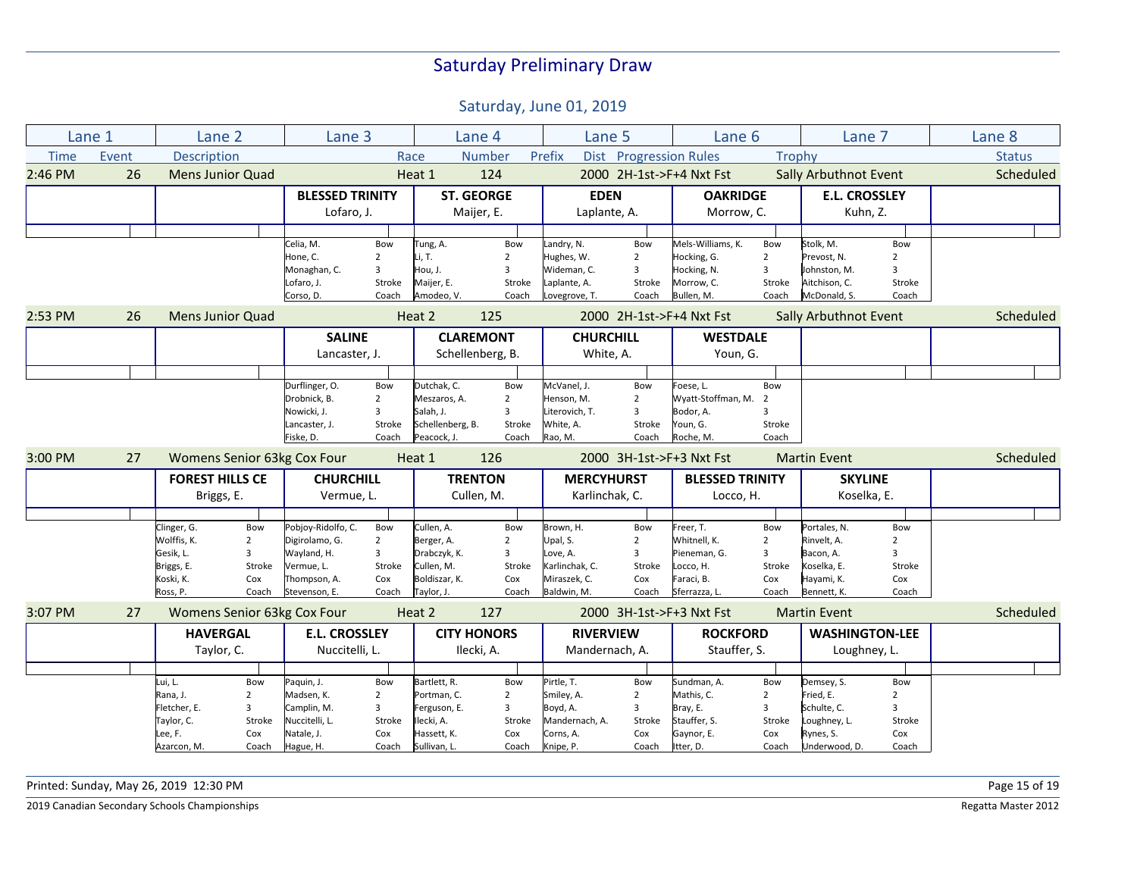Saturday, June 01, 2019

|             | Lane 1                            | Lane <sub>2</sub>       |                | Lane 3                      |                |                  | Lane 4             | Lane 5            |                          | Lane 6                   |                 | Lane 7                       |                | Lane 8        |
|-------------|-----------------------------------|-------------------------|----------------|-----------------------------|----------------|------------------|--------------------|-------------------|--------------------------|--------------------------|-----------------|------------------------------|----------------|---------------|
| <b>Time</b> | Event                             | Description             |                |                             |                | Race             | <b>Number</b>      | Prefix            |                          | Dist Progression Rules   |                 | Trophy                       |                | <b>Status</b> |
| 2:46 PM     | 26                                | <b>Mens Junior Quad</b> |                |                             |                | Heat 1           | 124                |                   |                          | 2000 2H-1st->F+4 Nxt Fst |                 | <b>Sally Arbuthnot Event</b> |                | Scheduled     |
|             |                                   |                         |                | <b>BLESSED TRINITY</b>      |                |                  | <b>ST. GEORGE</b>  | <b>EDEN</b>       |                          | <b>OAKRIDGE</b>          |                 | <b>E.L. CROSSLEY</b>         |                |               |
|             |                                   |                         |                | Lofaro, J.                  |                |                  | Maijer, E.         | Laplante, A.      |                          | Morrow, C.               |                 | Kuhn, Z.                     |                |               |
|             |                                   |                         |                |                             |                |                  |                    |                   |                          |                          |                 |                              |                |               |
|             |                                   |                         |                | Celia, M.                   | Bow            | Tung, A.         | Bow                | andry, N.         | Bow                      | Mels-Williams, K.        | Bow             | Stolk, M.                    | Bow            |               |
|             |                                   |                         |                | Hone, C.                    | $\overline{2}$ | Li, T.           | $\overline{2}$     | Hughes, W.        | $\overline{2}$           | Hocking, G.              | 2               | Prevost, N.                  | $\overline{2}$ |               |
|             |                                   |                         |                | Monaghan, C.                | 3              | Hou, J.          | $\overline{3}$     | Wideman. C.       | 3                        | Hocking, N.              | 3               | Johnston, M.                 | $\overline{3}$ |               |
|             |                                   |                         |                | Lofaro, J.                  | Stroke         | Maijer, E.       | Stroke             | Laplante, A.      | Stroke                   | Morrow, C.               | Stroke          | Aitchison, C.                | Stroke         |               |
|             |                                   |                         |                | Corso, D.                   | Coach          | Amodeo, V.       | Coach              | Lovegrove, T.     | Coach                    | Bullen, M.               | Coach           | McDonald, S.                 | Coach          |               |
| 2:53 PM     | 26                                | <b>Mens Junior Quad</b> |                |                             |                | 125<br>Heat 2    |                    |                   | 2000 2H-1st->F+4 Nxt Fst |                          |                 | <b>Sally Arbuthnot Event</b> |                | Scheduled     |
|             |                                   |                         |                | <b>SALINE</b>               |                |                  | <b>CLAREMONT</b>   |                   | <b>CHURCHILL</b>         |                          | <b>WESTDALE</b> |                              |                |               |
|             |                                   |                         |                |                             | Lancaster, J.  |                  | Schellenberg, B.   | White, A.         |                          | Youn, G.                 |                 |                              |                |               |
|             |                                   |                         |                |                             |                |                  |                    |                   |                          |                          |                 |                              |                |               |
|             |                                   |                         |                | Durflinger, O.              | Bow            | Dutchak, C.      | Bow                | McVanel, J.       | Bow                      | Foese, L.                | Bow             |                              |                |               |
|             |                                   |                         |                | Drobnick, B.                | $\overline{2}$ | Meszaros, A.     | $\overline{2}$     | Henson, M.        | $\overline{2}$           | Wyatt-Stoffman, M.       | $\overline{2}$  |                              |                |               |
|             |                                   |                         |                | Nowicki, J.                 | 3              | Salah, J.        | $\overline{3}$     | Literovich. T.    | $\overline{3}$           | Bodor, A.                | 3               |                              |                |               |
|             |                                   |                         |                | Lancaster, J.               | Stroke         | Schellenberg, B. | Stroke             | White, A.         | Stroke                   | Youn, G.                 | Stroke          |                              |                |               |
|             |                                   |                         |                | Fiske, D.                   | Coach          | Peacock, J.      | Coach              | Rao, M.           | Coach                    | Roche, M.                | Coach           |                              |                |               |
| 3:00 PM     | 27                                |                         |                | Womens Senior 63kg Cox Four |                | Heat 1           | 126                |                   |                          | 2000 3H-1st->F+3 Nxt Fst |                 | <b>Martin Event</b>          |                | Scheduled     |
|             |                                   | <b>FOREST HILLS CE</b>  |                | <b>CHURCHILL</b>            |                |                  | <b>TRENTON</b>     | <b>MERCYHURST</b> |                          | <b>BLESSED TRINITY</b>   |                 | <b>SKYLINE</b>               |                |               |
|             |                                   | Briggs, E.              |                | Vermue, L.                  |                | Cullen, M.       |                    | Karlinchak, C.    |                          | Locco, H.                |                 | Koselka, E.                  |                |               |
|             |                                   |                         |                |                             |                |                  |                    |                   |                          |                          |                 |                              |                |               |
|             |                                   | Clinger, G.             | Bow            | Pobjoy-Ridolfo, C.          | Bow            | Cullen, A.       | Bow                | Brown, H.         | Bow                      | Freer, T.                | Bow             | Portales, N.                 | Bow            |               |
|             |                                   | Wolffis, K.             | $\overline{2}$ | Digirolamo, G.              | $\overline{2}$ | Berger, A.       | $\overline{2}$     | Upal, S.          | $\overline{2}$           | Whitnell, K.             | $\overline{2}$  | Rinvelt, A.                  | $\overline{2}$ |               |
|             |                                   | Gesik, L.               | 3              | Wayland, H.                 | 3              | Drabczyk, K.     | 3                  | Love, A.          | $\overline{\mathbf{3}}$  | Pieneman, G.             | 3               | Bacon, A.                    | 3              |               |
|             |                                   | Briggs, E.              | Stroke         | Vermue, L.                  | Stroke         | Cullen, M.       | Stroke             | Karlinchak, C.    | Stroke                   | Locco, H.                | Stroke          | Koselka, E.                  | Stroke         |               |
|             |                                   | Koski, K.               | Cox            | Thompson, A.                | Cox            | Boldiszar, K.    | Cox                | Miraszek, C.      | Cox                      | Faraci, B.               | Cox             | Hayami, K.                   | Cox            |               |
|             |                                   | Ross, P.                | Coach          | Stevenson, E.               | Coach          | Taylor, J.       | Coach              | Baldwin, M.       | Coach                    | Sferrazza, L.            | Coach           | Bennett, K.                  | Coach          |               |
| 3:07 PM     | Womens Senior 63kg Cox Four<br>27 |                         |                |                             |                | Heat 2           | 127                |                   |                          | 2000 3H-1st->F+3 Nxt Fst |                 | <b>Martin Event</b>          |                | Scheduled     |
|             |                                   | <b>HAVERGAL</b>         |                | <b>E.L. CROSSLEY</b>        |                |                  | <b>CITY HONORS</b> | <b>RIVERVIEW</b>  |                          | <b>ROCKFORD</b>          |                 | <b>WASHINGTON-LEE</b>        |                |               |
|             |                                   | Taylor, C.              |                | Nuccitelli, L.              |                |                  | Ilecki, A.         | Mandernach, A.    |                          | Stauffer, S.             |                 | Loughney, L.                 |                |               |
|             |                                   |                         |                |                             |                |                  |                    |                   |                          |                          |                 |                              |                |               |
|             |                                   | Lui, L.                 | Bow            | Paquin, J.                  | Bow            | Bartlett, R.     | Bow                | Pirtle, T.        | Bow                      | Sundman, A.              | Bow             | Demsey, S.                   | Bow            |               |
|             |                                   | Rana, J.                | $\overline{2}$ | Madsen, K.                  | $\overline{2}$ | Portman, C.      | $\overline{2}$     | Smiley, A.        | $\overline{2}$           | Mathis, C.               | $\overline{2}$  | Fried, E.                    | $\overline{2}$ |               |
|             |                                   | Fletcher, E.            | 3              | Camplin, M.                 | 3              | Ferguson, E.     | $\overline{3}$     | Boyd, A.          | 3                        | Bray, E.                 | 3               | Schulte, C.                  | 3              |               |
|             |                                   | Taylor, C.              | Stroke         | Nuccitelli, L.              | Stroke         | Ilecki, A.       | Stroke             | Mandernach, A.    | Stroke                   | Stauffer, S.             | Stroke          | Loughney, L.                 | Stroke         |               |
|             |                                   | Lee, F.                 | Cox            | Natale, J.                  | Cox            | Hassett, K.      | Cox                | Corns, A.         | Cox                      | Gaynor, E.               | Cox             | Rynes, S.                    | Cox            |               |
|             |                                   | Azarcon, M.             | Coach          | Hague, H.                   | Coach          | Sullivan, L.     | Coach              | Knipe, P.         | Coach                    | Itter, D.                | Coach           | Underwood, D.                | Coach          |               |

Printed: Sunday, May 26, 2019 12:30 PM Page 15 of 19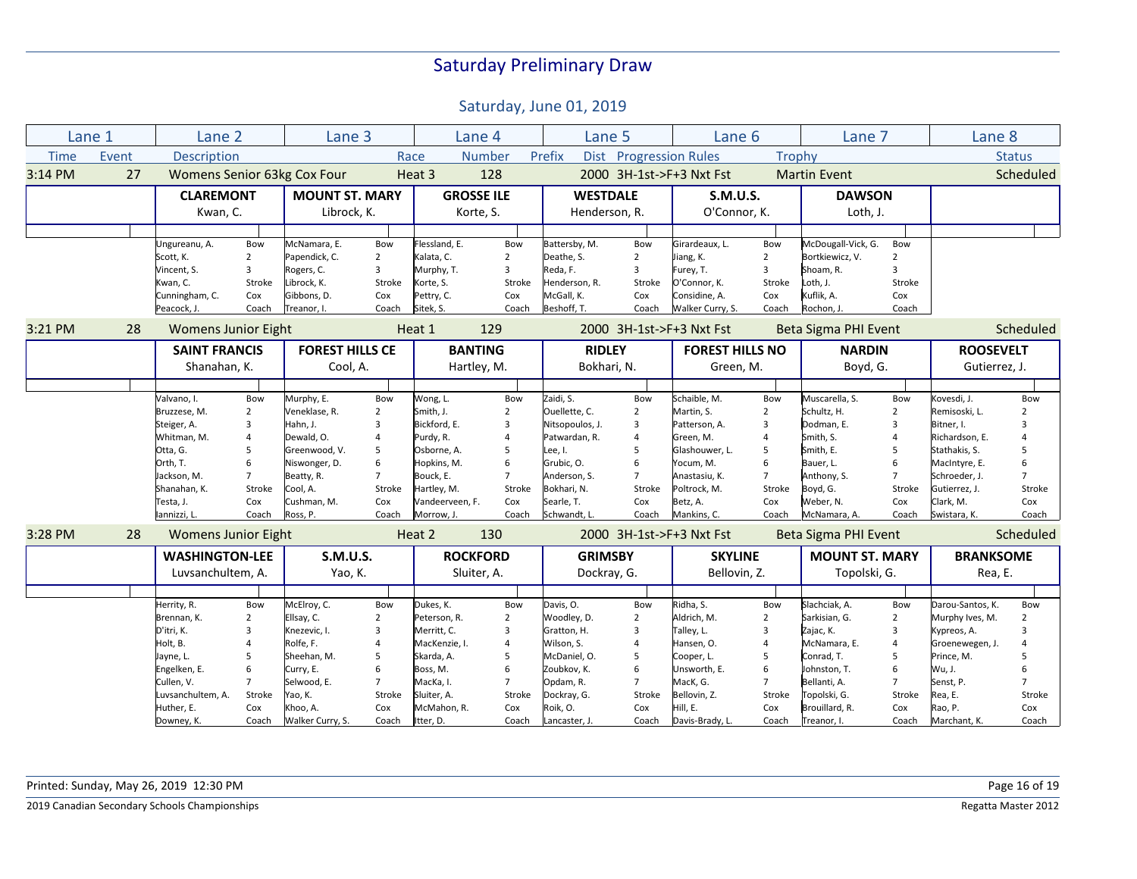Saturday, June 01, 2019

|             | Lane 1 | Lane <sub>2</sub>           |                | Lane 3                 |                |                 | Lane 4            | Lane 5                   |                        | Lane <sub>6</sub>        |                | Lane 7                |                | Lane <sub>8</sub> |                |
|-------------|--------|-----------------------------|----------------|------------------------|----------------|-----------------|-------------------|--------------------------|------------------------|--------------------------|----------------|-----------------------|----------------|-------------------|----------------|
|             |        |                             |                |                        |                |                 |                   |                          |                        |                          |                |                       |                |                   |                |
| <b>Time</b> | Event  | <b>Description</b>          |                |                        |                | Race            | <b>Number</b>     | Prefix                   | Dist Progression Rules |                          |                | Trophy                |                |                   | <b>Status</b>  |
| 3:14 PM     | 27     | Womens Senior 63kg Cox Four |                |                        |                | Heat 3          | 128               |                          |                        | 2000 3H-1st->F+3 Nxt Fst |                | <b>Martin Event</b>   |                |                   | Scheduled      |
|             |        | <b>CLAREMONT</b>            |                | <b>MOUNT ST. MARY</b>  |                |                 | <b>GROSSE ILE</b> | <b>WESTDALE</b>          |                        | <b>S.M.U.S.</b>          |                | <b>DAWSON</b>         |                |                   |                |
|             |        | Kwan, C.                    |                | Librock, K.            |                |                 | Korte, S.         | Henderson, R.            |                        | O'Connor, K.             |                | Loth, J.              |                |                   |                |
|             |        |                             |                |                        |                |                 |                   |                          |                        |                          |                |                       |                |                   |                |
|             |        | Ungureanu, A.               | Bow            | McNamara, E.           | Bow            | Flessland. E.   | Bow               | Battersby, M.            | Bow                    | Girardeaux, L.           | Bow            | McDougall-Vick, G.    | Bow            |                   |                |
|             |        | Scott, K.                   | $\overline{2}$ | Papendick, C.          | $\overline{2}$ | Kalata, C.      | $\overline{2}$    | Deathe, S.               | $\overline{2}$         | Jiang, K.                | $\overline{2}$ | Bortkiewicz, V.       | $\overline{2}$ |                   |                |
|             |        | Vincent, S.                 | $\overline{3}$ | Rogers, C.             | 3              | Murphy, T.      | $\overline{3}$    | Reda, F.                 | $\overline{3}$         | Furey, T.                | 3              | Shoam, R.             | 3              |                   |                |
|             |        | Kwan, C.                    | Stroke         | Librock, K.            | Stroke         | Korte, S.       | Stroke            | Henderson, R.            | Stroke                 | O'Connor, K.             | Stroke         | Loth, J.              | Stroke         |                   |                |
|             |        | Cunningham, C.              | Cox            | Gibbons, D.            | Cox            | Pettry, C.      | Cox               | McGall, K.               | Cox                    | Considine, A.            | Cox            | Kuflik, A.            | Cox            |                   |                |
|             |        | Peacock, J.                 | Coach          | Treanor, I.            | Coach          | Sitek, S.       | Coach             | Beshoff, T.              | Coach                  | Walker Curry, S.         | Coach          | Rochon, J.            | Coach          |                   |                |
| 3:21 PM     | 28     | <b>Womens Junior Eight</b>  |                |                        |                | 129<br>Heat 1   |                   | 2000 3H-1st->F+3 Nxt Fst |                        |                          |                | Beta Sigma PHI Event  |                | Scheduled         |                |
|             |        | <b>SAINT FRANCIS</b>        |                | <b>FOREST HILLS CE</b> |                | <b>BANTING</b>  |                   | <b>RIDLEY</b>            |                        | <b>FOREST HILLS NO</b>   |                | <b>NARDIN</b>         |                | <b>ROOSEVELT</b>  |                |
|             |        | Shanahan, K.                |                | Cool, A.               |                |                 | Hartley, M.       |                          | Bokhari, N.            |                          | Green, M.      | Boyd, G.              |                | Gutierrez, J.     |                |
|             |        |                             |                |                        |                |                 |                   |                          |                        |                          |                |                       |                |                   |                |
|             |        | Valvano, I.                 | Bow            | Murphy, E.             | Bow            | Wong, L.        | Bow               | Zaidi, S.                | Bow                    | Schaible, M.             | Bow            | Muscarella, S.        | Bow            | Kovesdi, J.       | Bow            |
|             |        | Bruzzese, M.                | $\overline{2}$ | Veneklase, R.          | $\overline{2}$ | Smith, J.       | $\overline{2}$    | Ouellette, C.            | $\overline{2}$         | Martin, S.               | $\overline{2}$ | Schultz, H.           | $\overline{2}$ | Remisoski, L.     | $\overline{2}$ |
|             |        | Steiger, A.                 | 3              | Hahn. J.               | $\overline{3}$ | Bickford, E.    | $\overline{3}$    | Nitsopoulos, J.          | 3                      | Patterson, A.            | 3              | Dodman, E.            | 3              | Bitner, I.        | $\overline{3}$ |
|             |        | Whitman, M.                 | $\overline{4}$ | Dewald, O.             | $\overline{4}$ | Purdy, R.       | $\overline{4}$    | Patwardan, R.            | $\overline{4}$         | Green, M.                | $\overline{4}$ | Smith, S.             | $\overline{4}$ | Richardson, E.    | $\overline{4}$ |
|             |        | Otta, G.                    | 5              | Greenwood, V.          | 5              | Osborne, A.     | 5                 | Lee, I.                  | 5                      | Glashouwer, L.           | 5              | Smith, E.             | 5              | Stathakis, S.     | 5              |
|             |        | Orth, T.                    | 6              | Niswonger, D.          | 6              | Hopkins, M.     | 6                 | Grubic, O.               | 6                      | Yocum, M.                | 6              | Bauer, L.             | 6              | MacIntyre, E.     | 6              |
|             |        | Jackson. M.                 | $\overline{7}$ | Beatty, R.             | $\overline{7}$ | Bouck. E.       | $\overline{7}$    | Anderson, S.             | $\overline{7}$         | Anastasiu. K.            | $\overline{7}$ | Anthony, S.           | $\overline{7}$ | Schroeder. J.     | $\overline{7}$ |
|             |        | Shanahan, K.                | Stroke         | Cool, A.               | Stroke         | Hartley, M.     | Stroke            | Bokhari, N.              | Stroke                 | Poltrock, M.             | Stroke         | Boyd, G.              | Stroke         | Gutierrez, J.     | Stroke         |
|             |        | Testa, J.                   | Cox            | Cushman. M.            | Cox            | Vandeerveen. F. | Cox               | Searle, T.               | Cox                    | Betz, A.                 | Cox            | Weber. N.             | Cox            | Clark, M.         | Cox            |
|             |        | lannizzi, L.                | Coach          | Ross, P.               | Coach          | Morrow, J       | Coach             | Schwandt, L.             | Coach                  | Mankins, C.              | Coach          | McNamara, A.          | Coach          | Swistara, K.      | Coach          |
| 3:28 PM     | 28     | <b>Womens Junior Eight</b>  |                |                        |                | Heat 2<br>130   |                   | 2000 3H-1st->F+3 Nxt Fst |                        |                          |                | Beta Sigma PHI Event  |                | Scheduled         |                |
|             |        | <b>WASHINGTON-LEE</b>       |                | <b>S.M.U.S.</b>        |                |                 | <b>ROCKFORD</b>   | <b>GRIMSBY</b>           |                        | <b>SKYLINE</b>           |                | <b>MOUNT ST. MARY</b> |                | <b>BRANKSOME</b>  |                |
|             |        | Luvsanchultem, A.           |                | Yao, K.                |                |                 | Sluiter, A.       | Dockray, G.              |                        | Bellovin, Z.             |                | Topolski, G.          |                | Rea, E.           |                |
|             |        |                             |                |                        |                |                 |                   |                          |                        |                          |                |                       |                |                   |                |
|             |        | Herrity, R.                 | Bow            | McElroy, C.            | Bow            | Dukes, K.       | Bow               | Davis, O.                | Bow                    | Ridha, S.                | Bow            | Slachciak, A.         | Bow            | Darou-Santos, K.  | Bow            |
|             |        | Brennan, K.                 | 2              | Ellsay, C.             | $\overline{2}$ | Peterson, R.    | $\overline{2}$    | Woodley, D.              | $\overline{2}$         | Aldrich, M.              | $\overline{2}$ | Sarkisian, G.         | $\overline{2}$ | Murphy Ives, M.   | $\overline{2}$ |
|             |        | D'itri, K.                  | 3              | Knezevic, I.           | 3              | Merritt, C.     | $\overline{3}$    | Gratton, H.              | $\overline{3}$         | Talley, L.               | 3              | Zajac, K.             | 3              | Kypreos, A.       | 3              |
|             |        | Holt, B.                    | $\overline{4}$ | Rolfe, F.              | $\overline{a}$ | MacKenzie, I.   | $\overline{4}$    | Wilson, S.               | $\overline{4}$         | Hansen, O.               | 4              | McNamara, E.          | $\overline{4}$ | Groenewegen, J.   | $\overline{4}$ |
|             |        | Jayne, L.                   | 5              | Sheehan, M.            | 5              | Skarda, A.      | 5                 | McDaniel, O.             | 5                      | Cooper, L.               | 5              | Conrad, T.            | 5              | Prince, M.        | 5              |
|             |        | Engelken, E.                | 6              | Curry, E.              | 6              | Boss, M.        | 6                 | Zoubkov, K.              | 6                      | Unsworth, E.             | 6              | Johnston, T.          | 6              | Wu, J.            | 6              |
|             |        | Cullen, V.                  | $\overline{7}$ | Selwood, E.            | $\overline{7}$ | MacKa, I.       | $\overline{7}$    | Opdam, R.                | $\overline{7}$         | MacK, G.                 | $\overline{7}$ | Bellanti, A.          | $7^{\circ}$    | Senst, P.         | $\overline{7}$ |
|             |        | Luvsanchultem, A.           | Stroke         | Yao, K.                | Stroke         | Sluiter, A.     | Stroke            | Dockray, G.              | Stroke                 | Bellovin, Z.             | Stroke         | Topolski, G.          | Stroke         | Rea, E.           | Stroke         |
|             |        | Huther, E.                  | Cox            | Khoo, A.               | Cox            | McMahon, R.     | Cox               | Roik, O.                 | Cox                    | Hill, E.                 | Cox            | Brouillard, R.        | Cox            | Rao, P.           | Cox            |
|             |        | Downey, K.                  | Coach          | Walker Curry, S.       | Coach          | Itter, D.       | Coach             | Lancaster, J.            | Coach                  | Davis-Brady, L.          | Coach          | Treanor, I.           | Coach          | Marchant, K.      | Coach          |
|             |        |                             |                |                        |                |                 |                   |                          |                        |                          |                |                       |                |                   |                |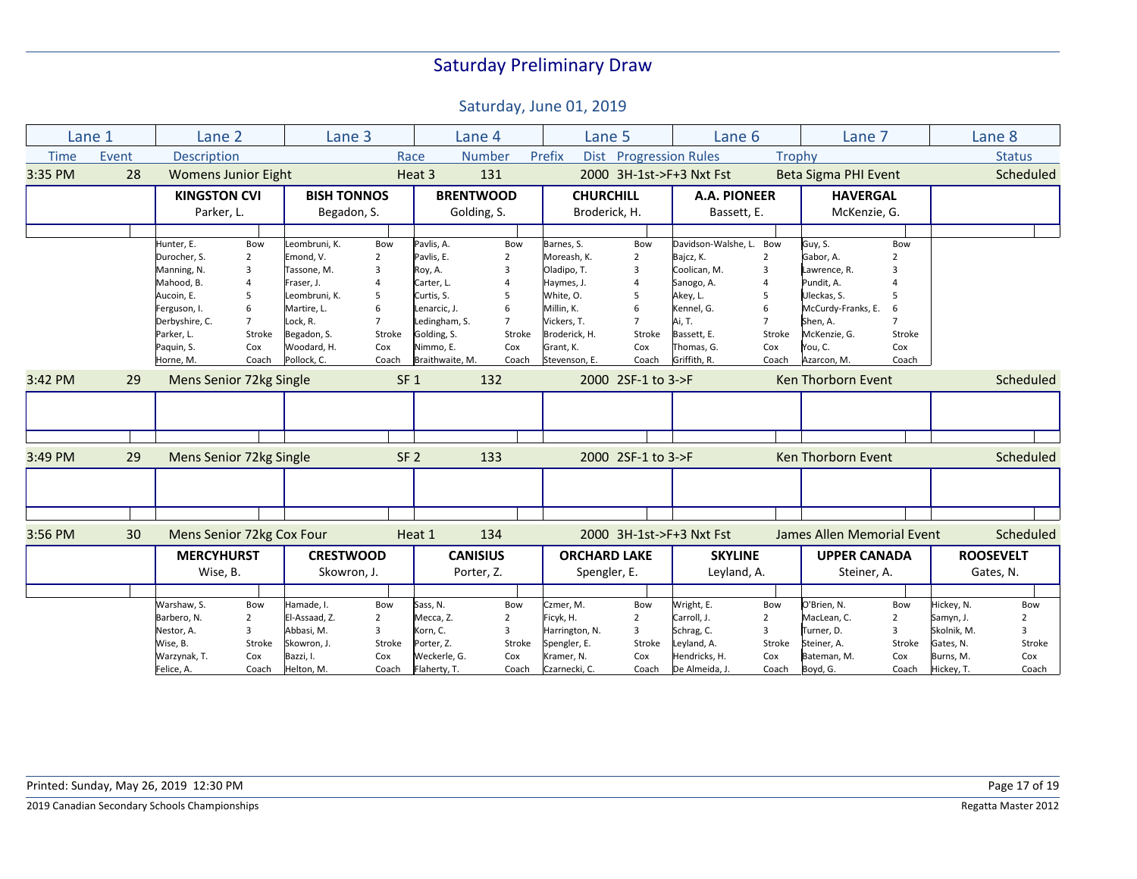|             | Lane 1                        | Lane 2                     |                | Lane <sub>3</sub>  |                 |                  | Lane 4          | Lane 5                |                          | Lane 6                   |                | Lane 7                     |                         |             | Lane 8           |
|-------------|-------------------------------|----------------------------|----------------|--------------------|-----------------|------------------|-----------------|-----------------------|--------------------------|--------------------------|----------------|----------------------------|-------------------------|-------------|------------------|
| <b>Time</b> | Event                         | Description                |                |                    |                 | Race             | <b>Number</b>   | Prefix<br><b>Dist</b> | <b>Progression Rules</b> |                          | Trophy         |                            |                         |             | <b>Status</b>    |
| 3:35 PM     | 28                            | <b>Womens Junior Eight</b> |                |                    |                 | Heat 3           | 131             |                       |                          | 2000 3H-1st->F+3 Nxt Fst |                | Beta Sigma PHI Event       |                         |             | Scheduled        |
|             |                               | <b>KINGSTON CVI</b>        |                | <b>BISH TONNOS</b> |                 | <b>BRENTWOOD</b> |                 | <b>CHURCHILL</b>      |                          | <b>A.A. PIONEER</b>      |                | <b>HAVERGAL</b>            |                         |             |                  |
|             |                               | Parker, L.                 |                | Begadon, S.        |                 |                  | Golding, S.     | Broderick, H.         |                          | Bassett, E.              |                | McKenzie, G.               |                         |             |                  |
|             |                               |                            |                |                    |                 |                  |                 |                       |                          |                          |                |                            |                         |             |                  |
|             |                               | Hunter, E.                 | Bow            | Leombruni, K.      | Bow             | Pavlis, A.       | Bow             | Barnes, S.            | Bow                      | Davidson-Walshe, L.      | Bow            | Guy, S.                    | Bow                     |             |                  |
|             |                               | Durocher, S.               | $\overline{2}$ | Emond, V.          | 2               | Pavlis, E.       | $\overline{2}$  | Moreash, K.           | $\overline{2}$           | Bajcz, K.                | $\overline{2}$ | Gabor, A.                  |                         |             |                  |
|             |                               | Manning, N.                | $\overline{3}$ | Tassone, M.        | 3               | Roy, A.          | 3               | Oladipo, T.           | 3                        | Coolican, M.             | 3              | Lawrence, R.               | $\overline{\mathbf{3}}$ |             |                  |
|             |                               | Mahood, B.                 | $\overline{4}$ | Fraser, J.         |                 | Carter, L.       |                 | Haymes, J.            | $\overline{4}$           | Sanogo, A.               |                | Pundit, A.                 |                         |             |                  |
|             |                               | Aucoin, E.                 | 5              | Leombruni, K.      | 5               | Curtis, S.       | 5               | White, O.             | 5                        | Akey, L.                 |                | Uleckas, S.                |                         |             |                  |
|             |                               | Ferguson, I.               | 6              | Martire, L.        |                 | Lenarcic, J.     | 6               | Millin, K.            | 6                        | Kennel, G.               |                | McCurdy-Franks, E.         | 6                       |             |                  |
|             |                               | Derbyshire, C.             | $\overline{7}$ | Lock, R.           |                 | Ledingham, S.    | $\overline{7}$  | Vickers, T.           | $\overline{7}$           | Ai, T.                   |                | Shen, A.                   |                         |             |                  |
|             |                               | Parker, L.                 | Stroke         | Begadon, S.        | Stroke          | Golding, S.      | Stroke          | Broderick, H.         | Stroke                   | Bassett, E.              | Stroke         | McKenzie, G.               | Stroke                  |             |                  |
|             |                               | Paquin, S.                 | Cox            | Woodard, H.        | Cox             | Nimmo, E.        | Cox             | Grant, K.             | Cox                      | Thomas, G.               | Cox            | You, C.                    | Cox                     |             |                  |
|             |                               | Horne, M.                  | Coach          | Pollock, C.        | Coach           | Braithwaite, M.  | Coach           | Stevenson, E.         | Coach                    | Griffith, R.             | Coach          | Azarcon, M.                | Coach                   |             |                  |
| 3:42 PM     | Mens Senior 72kg Single<br>29 |                            |                |                    | SF <sub>1</sub> | 132              |                 | 2000 2SF-1 to 3->F    |                          | Ken Thorborn Event       |                |                            |                         | Scheduled   |                  |
|             |                               |                            |                |                    |                 |                  |                 |                       |                          |                          |                |                            |                         |             |                  |
|             |                               |                            |                |                    |                 |                  |                 |                       |                          |                          |                |                            |                         |             |                  |
|             |                               |                            |                |                    |                 |                  |                 |                       |                          |                          |                |                            |                         |             |                  |
| 3:49 PM     | 29                            | Mens Senior 72kg Single    |                |                    |                 | SF <sub>2</sub>  | 133             |                       | 2000 2SF-1 to 3->F       |                          |                | Ken Thorborn Event         |                         |             | Scheduled        |
|             |                               |                            |                |                    |                 |                  |                 |                       |                          |                          |                |                            |                         |             |                  |
|             |                               |                            |                |                    |                 |                  |                 |                       |                          |                          |                |                            |                         |             |                  |
|             |                               |                            |                |                    |                 |                  |                 |                       |                          |                          |                |                            |                         |             |                  |
| 3:56 PM     | 30                            | Mens Senior 72kg Cox Four  |                |                    |                 | Heat 1           | 134             |                       |                          | 2000 3H-1st->F+3 Nxt Fst |                | James Allen Memorial Event |                         |             | Scheduled        |
|             |                               | <b>MERCYHURST</b>          |                | <b>CRESTWOOD</b>   |                 |                  | <b>CANISIUS</b> | <b>ORCHARD LAKE</b>   |                          | <b>SKYLINE</b>           |                | <b>UPPER CANADA</b>        |                         |             | <b>ROOSEVELT</b> |
|             |                               | Wise, B.                   |                | Skowron, J.        |                 |                  | Porter, Z.      | Spengler, E.          |                          | Leyland, A.              |                | Steiner, A.                |                         |             | Gates, N.        |
|             |                               |                            |                |                    |                 |                  |                 |                       |                          |                          |                |                            |                         |             |                  |
|             |                               | Warshaw, S.                | Bow            | Hamade, I.         | Bow             | Sass, N.         | Bow             | Czmer, M.             | Bow                      | Wright, E.               | Bow            | O'Brien, N.                | Bow                     | Hickey, N.  | Bow              |
|             |                               | Barbero, N.                | $\overline{2}$ | El-Assaad, Z.      | $\overline{2}$  | Mecca, Z.        | $\overline{2}$  | Ficyk, H.             | $\overline{2}$           | Carroll, J.              | $\overline{2}$ | MacLean, C.                | $\overline{2}$          | Samyn, J.   | 2                |
|             |                               | Nestor, A.                 | $\overline{3}$ | Abbasi, M.         | $\overline{3}$  | Korn, C.         | 3               | Harrington, N.        | 3                        | Schrag, C.               | 3              | Turner, D.                 | 3                       | Skolnik, M. | 3                |
|             |                               | Wise, B.                   | Stroke         | Skowron, J.        | Stroke          | Porter, Z.       | Stroke          | Spengler, E.          | Stroke                   | Leyland, A.              | Stroke         | Steiner, A.                | Stroke                  | Gates, N.   | Stroke           |
|             |                               | Warzynak, T.               | Cox            | Bazzi, I.          | Cox             | Weckerle, G.     | Cox             | Kramer, N.            | Cox                      | Hendricks, H.            | Cox            | Bateman, M.                | Cox                     | Burns, M.   | Cox              |
|             |                               | Felice, A.                 | Coach          | Helton, M.         | Coach           | Flaherty, T.     | Coach           | Czarnecki, C.         | Coach                    | De Almeida, J.           | Coach          | Boyd, G.                   | Coach                   | Hickey, T.  | Coach            |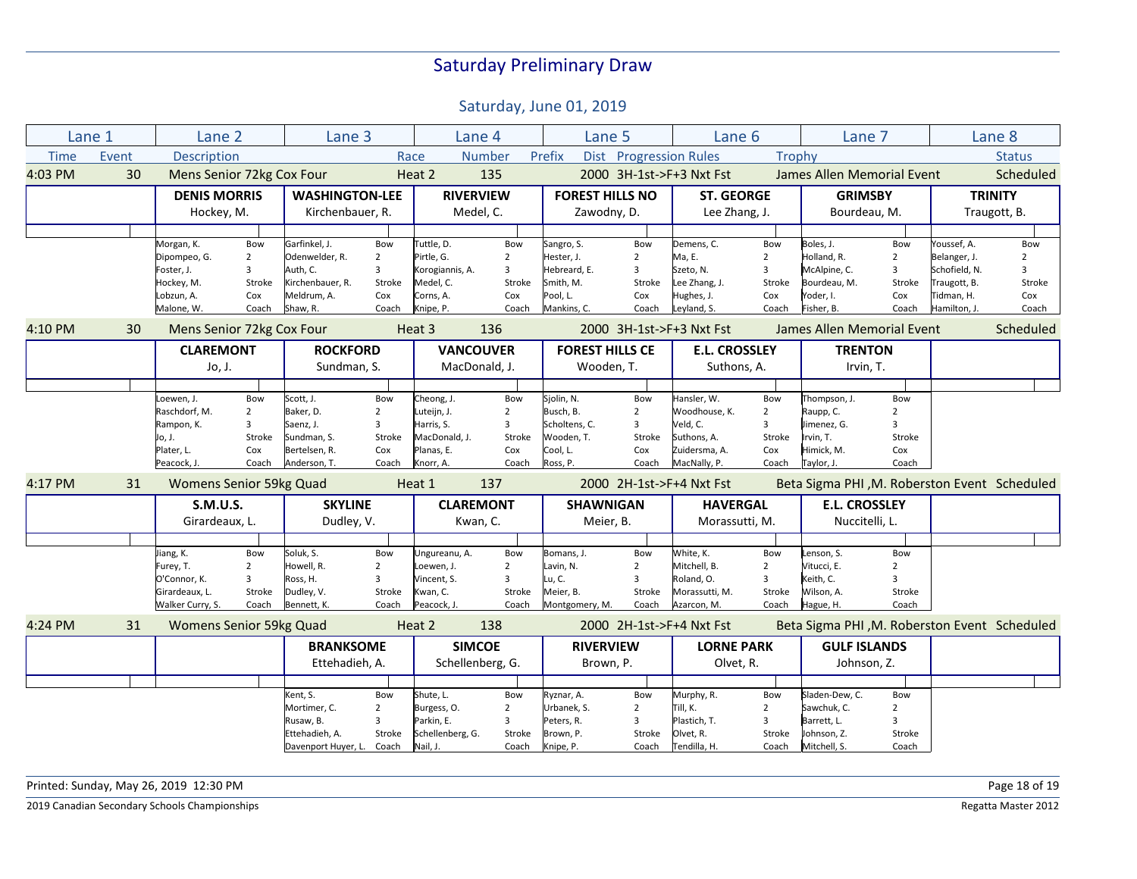Saturday, June 01, 2019

|             | Lane 1 | Lane <sub>2</sub>              |                           | Lane 3                |                | Lane 4           |                  | Lane 5                   |                        | Lane 6                   |                      | Lane 7                                       |                         |               | Lane 8         |
|-------------|--------|--------------------------------|---------------------------|-----------------------|----------------|------------------|------------------|--------------------------|------------------------|--------------------------|----------------------|----------------------------------------------|-------------------------|---------------|----------------|
| <b>Time</b> | Event  | Description                    |                           |                       |                | Race             | <b>Number</b>    | Prefix                   |                        | Dist Progression Rules   | Trophy               |                                              |                         |               | <b>Status</b>  |
| 4:03 PM     | 30     | Mens Senior 72kg Cox Four      |                           |                       |                | Heat 2           | 135              |                          |                        | 2000 3H-1st->F+3 Nxt Fst |                      | James Allen Memorial Event                   |                         |               | Scheduled      |
|             |        | <b>DENIS MORRIS</b>            |                           | <b>WASHINGTON-LEE</b> |                | <b>RIVERVIEW</b> |                  | <b>FOREST HILLS NO</b>   |                        | <b>ST. GEORGE</b>        |                      | <b>GRIMSBY</b>                               |                         |               | <b>TRINITY</b> |
|             |        | Hockey, M.                     |                           | Kirchenbauer, R.      |                | Medel, C.        |                  | Zawodny, D.              |                        | Lee Zhang, J.            |                      | Bourdeau, M.                                 |                         |               | Traugott, B.   |
|             |        |                                |                           |                       |                |                  |                  |                          |                        |                          |                      |                                              |                         |               |                |
|             |        | Morgan, K.                     | Bow                       | Garfinkel, J.         | Bow            | Tuttle, D.       | Bow              | Sangro, S.               | Bow                    | Demens, C.               | Bow                  | Boles, J.                                    | Bow                     | Youssef, A.   | Bow            |
|             |        | Dipompeo, G.                   | $\overline{2}$            | Odenwelder, R.        | $\overline{2}$ | Pirtle, G.       | $\overline{2}$   | Hester, J.               | $\overline{2}$         | Ma, E.                   | $\overline{2}$       | Holland, R.                                  | $\overline{2}$          | Belanger, J.  | $\overline{2}$ |
|             |        | Foster, J.                     | 3                         | Auth, C.              | 3              | Korogiannis, A.  | 3                | Hebreard, E.             | $\overline{3}$         | Szeto, N.                | 3                    | McAlpine, C.                                 | $\overline{3}$          | Schofield, N. | $\overline{3}$ |
|             |        | Hockey, M.                     | Stroke                    | Kirchenbauer, R.      | Stroke         | Medel, C.        | Stroke           | Smith, M.                | Stroke                 | Lee Zhang, J.            | Stroke               | Bourdeau, M.                                 | Stroke                  | Traugott, B.  | Stroke         |
|             |        | Lobzun, A.                     | Cox                       | Meldrum, A.           | Cox            | Corns, A.        | Cox              | Pool, L.                 | Cox                    | Hughes, J.               | Cox                  | Yoder, I.                                    | Cox                     | Tidman, H.    | Cox            |
|             |        | Malone, W.                     | Coach                     | Shaw, R.              | Coach          | Knipe, P.        | Coach            | Mankins, C.              | Coach                  | Leyland, S.              | Coach                | Fisher, B.                                   | Coach                   | Hamilton, J.  | Coach          |
| 4:10 PM     | 30     |                                | Mens Senior 72kg Cox Four |                       |                | Heat 3<br>136    |                  | 2000 3H-1st->F+3 Nxt Fst |                        |                          |                      | James Allen Memorial Event                   |                         |               | Scheduled      |
|             |        | <b>CLAREMONT</b>               |                           | <b>ROCKFORD</b>       |                |                  | <b>VANCOUVER</b> |                          | <b>FOREST HILLS CE</b> |                          | <b>E.L. CROSSLEY</b> | <b>TRENTON</b>                               |                         |               |                |
|             |        | Jo, J.                         |                           | Sundman, S.           |                | MacDonald, J.    |                  | Wooden, T.               |                        | Suthons, A.              |                      | Irvin, T.                                    |                         |               |                |
|             |        |                                |                           |                       |                |                  |                  |                          |                        |                          |                      |                                              |                         |               |                |
|             |        | Loewen, J.                     | Bow                       | Scott, J.             | Bow            | Cheong, J.       | Bow              | Sjolin, N.               | Bow                    | Hansler, W.              | Bow                  | Thompson, J.                                 | Bow                     |               |                |
|             |        | Raschdorf, M.                  | $\overline{2}$            | Baker, D.             | $\overline{2}$ | Luteijn, J.      | $\overline{2}$   | Busch, B.                | $\overline{2}$         | Woodhouse, K.            | $\overline{2}$       | Raupp, C.                                    | $\overline{2}$          |               |                |
|             |        | Rampon, K.                     | 3                         | Saenz, J.             | 3              | Harris, S.       | 3                | Scholtens, C.            | 3                      | Veld, C.                 | 3                    | Jimenez, G.                                  | $\overline{\mathbf{3}}$ |               |                |
|             |        | Jo, J.                         | Stroke                    | Sundman, S.           | Stroke         | MacDonald, J.    | Stroke           | Wooden, T.               | Stroke                 | Suthons, A.              | Stroke               | Irvin, T.                                    | Stroke                  |               |                |
|             |        | Plater, L.                     | Cox                       | Bertelsen, R.         | Cox            | Planas, E.       | Cox              | Cool, L.                 | Cox                    | Zuidersma, A.            | Cox                  | Himick, M.                                   | Cox                     |               |                |
|             |        | Peacock, J.                    | Coach                     | Anderson, T.          | Coach          | Knorr, A.        | Coach            | Ross, P.                 | Coach                  | MacNally, P.             | Coach                | Taylor, J.                                   | Coach                   |               |                |
| 4:17 PM     | 31     | <b>Womens Senior 59kg Quad</b> |                           |                       |                | 137<br>Heat 1    |                  | 2000 2H-1st->F+4 Nxt Fst |                        |                          |                      | Beta Sigma PHI, M. Roberston Event Scheduled |                         |               |                |
|             |        | <b>S.M.U.S.</b>                |                           | <b>SKYLINE</b>        |                | <b>CLAREMONT</b> |                  | <b>SHAWNIGAN</b>         |                        | <b>HAVERGAL</b>          |                      | <b>E.L. CROSSLEY</b>                         |                         |               |                |
|             |        | Girardeaux, L.                 |                           | Dudley, V.            |                | Kwan, C.         |                  | Meier, B.                |                        | Morassutti, M.           |                      | Nuccitelli, L.                               |                         |               |                |
|             |        |                                |                           |                       |                |                  |                  |                          |                        |                          |                      |                                              |                         |               |                |
|             |        | Jiang, K.                      | Bow                       | Soluk, S.             | Bow            | Ungureanu, A.    | Bow              | Bomans, J.               | Bow                    | White, K.                | Bow                  | Lenson, S.                                   | Bow                     |               |                |
|             |        | Furey, T.                      | $\overline{2}$            | Howell, R.            | $\overline{2}$ | Loewen, J.       | $\overline{2}$   | Lavin, N.                | $\overline{2}$         | Mitchell, B.             | $\overline{2}$       | Vitucci, E.                                  | $\overline{2}$          |               |                |
|             |        | O'Connor, K.                   | 3                         | Ross, H.              | 3              | Vincent, S.      | $\overline{3}$   | .u, C.                   | $\overline{3}$         | Roland, O.               | 3                    | Keith, C.                                    | $\overline{\mathbf{3}}$ |               |                |
|             |        | Girardeaux, L.                 | Stroke                    | Dudley, V.            | Stroke         | Kwan, C.         | Stroke           | Meier, B.                | Stroke                 | Morassutti, M.           | Stroke               | Wilson, A.                                   | Stroke                  |               |                |
|             |        | Walker Curry, S.               | Coach                     | Bennett, K.           | Coach          | Peacock, J.      | Coach            | Montgomery, M.           | Coach                  | Azarcon, M.              | Coach                | Hague, H.                                    | Coach                   |               |                |
| 4:24 PM     | 31     | <b>Womens Senior 59kg Quad</b> |                           |                       |                | Heat 2           | 138              |                          |                        | 2000 2H-1st->F+4 Nxt Fst |                      | Beta Sigma PHI, M. Roberston Event Scheduled |                         |               |                |
|             |        |                                |                           | <b>BRANKSOME</b>      |                | <b>SIMCOE</b>    |                  | <b>RIVERVIEW</b>         |                        | <b>LORNE PARK</b>        |                      | <b>GULF ISLANDS</b>                          |                         |               |                |
|             |        |                                |                           | Ettehadieh, A.        |                | Schellenberg, G. |                  | Brown, P.                |                        | Olvet, R.                |                      | Johnson, Z.                                  |                         |               |                |
|             |        |                                |                           |                       |                |                  |                  |                          |                        |                          |                      |                                              |                         |               |                |
|             |        |                                |                           | Kent, S.              | Bow            | Shute, L.        | Bow              | Ryznar, A.               | Bow                    | Murphy, R.               | Bow                  | Sladen-Dew, C.                               | Bow                     |               |                |
|             |        |                                |                           | Mortimer, C.          | $\overline{2}$ | Burgess, O.      | $\overline{2}$   | Urbanek, S.              | $\overline{2}$         | Till, K.                 | $\overline{2}$       | Sawchuk, C.                                  | $\overline{2}$          |               |                |
|             |        |                                |                           | Rusaw, B.             | 3              | Parkin, E.       | 3                | Peters, R.               | 3                      | Plastich, T.             | 3                    | Barrett, L.                                  | 3                       |               |                |
|             |        |                                |                           | Ettehadieh, A.        | Stroke         | Schellenberg, G. | Stroke           | Brown, P.                | Stroke                 | Olvet, R.                | Stroke               | Johnson, Z.                                  | Stroke                  |               |                |
|             |        |                                |                           | Davenport Huyer, L.   | Coach          | Nail, J.         | Coach            | Knipe, P.                | Coach                  | Tendilla, H.             | Coach                | Mitchell, S.                                 | Coach                   |               |                |

Printed: Sunday, May 26, 2019 12:30 PM Page 18 of 19